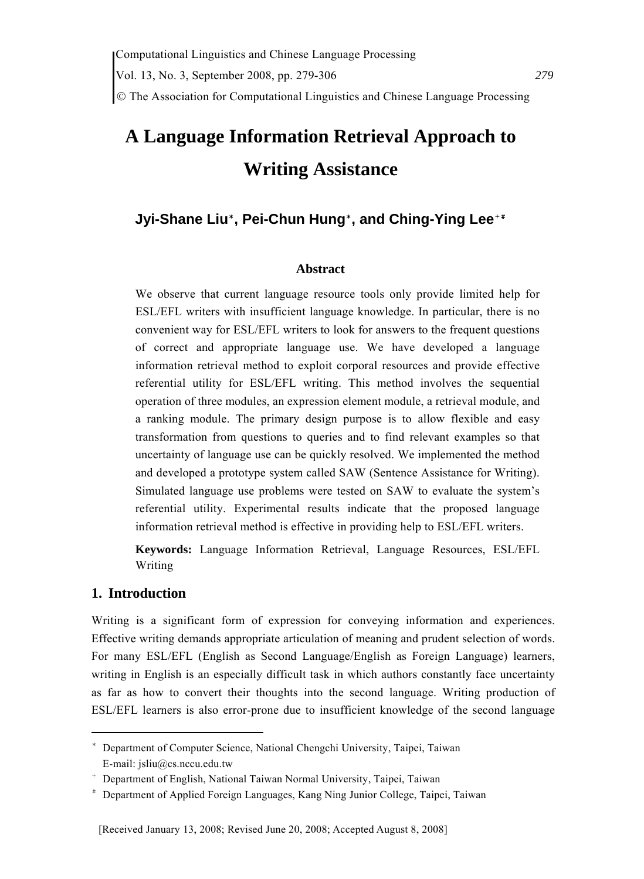© The Association for Computational Linguistics and Chinese Language Processing

# **A Language Information Retrieval Approach to Writing Assistance**

# **Jyi-Shane Liu**\* **, Pei-Chun Hung**\* **, and Ching-Ying Lee**+#

#### **Abstract**

We observe that current language resource tools only provide limited help for ESL/EFL writers with insufficient language knowledge. In particular, there is no convenient way for ESL/EFL writers to look for answers to the frequent questions of correct and appropriate language use. We have developed a language information retrieval method to exploit corporal resources and provide effective referential utility for ESL/EFL writing. This method involves the sequential operation of three modules, an expression element module, a retrieval module, and a ranking module. The primary design purpose is to allow flexible and easy transformation from questions to queries and to find relevant examples so that uncertainty of language use can be quickly resolved. We implemented the method and developed a prototype system called SAW (Sentence Assistance for Writing). Simulated language use problems were tested on SAW to evaluate the system's referential utility. Experimental results indicate that the proposed language information retrieval method is effective in providing help to ESL/EFL writers.

**Keywords:** Language Information Retrieval, Language Resources, ESL/EFL Writing

## **1. Introduction**

Writing is a significant form of expression for conveying information and experiences. Effective writing demands appropriate articulation of meaning and prudent selection of words. For many ESL/EFL (English as Second Language/English as Foreign Language) learners, writing in English is an especially difficult task in which authors constantly face uncertainty as far as how to convert their thoughts into the second language. Writing production of ESL/EFL learners is also error-prone due to insufficient knowledge of the second language

<sup>\*</sup> Department of Computer Science, National Chengchi University, Taipei, Taiwan E-mail: jsliu@cs.nccu.edu.tw

<sup>+</sup> Department of English, National Taiwan Normal University, Taipei, Taiwan

<sup>#</sup> Department of Applied Foreign Languages, Kang Ning Junior College, Taipei, Taiwan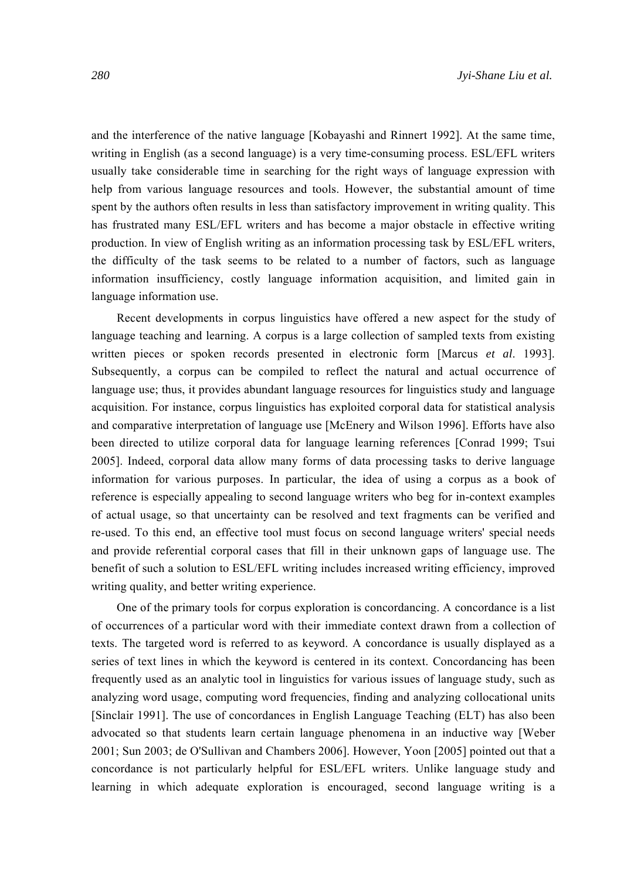and the interference of the native language [Kobayashi and Rinnert 1992]. At the same time, writing in English (as a second language) is a very time-consuming process. ESL/EFL writers usually take considerable time in searching for the right ways of language expression with help from various language resources and tools. However, the substantial amount of time spent by the authors often results in less than satisfactory improvement in writing quality. This has frustrated many ESL/EFL writers and has become a major obstacle in effective writing production. In view of English writing as an information processing task by ESL/EFL writers, the difficulty of the task seems to be related to a number of factors, such as language information insufficiency, costly language information acquisition, and limited gain in language information use.

Recent developments in corpus linguistics have offered a new aspect for the study of language teaching and learning. A corpus is a large collection of sampled texts from existing written pieces or spoken records presented in electronic form [Marcus *et al*. 1993]. Subsequently, a corpus can be compiled to reflect the natural and actual occurrence of language use; thus, it provides abundant language resources for linguistics study and language acquisition. For instance, corpus linguistics has exploited corporal data for statistical analysis and comparative interpretation of language use [McEnery and Wilson 1996]. Efforts have also been directed to utilize corporal data for language learning references [Conrad 1999; Tsui 2005]. Indeed, corporal data allow many forms of data processing tasks to derive language information for various purposes. In particular, the idea of using a corpus as a book of reference is especially appealing to second language writers who beg for in-context examples of actual usage, so that uncertainty can be resolved and text fragments can be verified and re-used. To this end, an effective tool must focus on second language writers' special needs and provide referential corporal cases that fill in their unknown gaps of language use. The benefit of such a solution to ESL/EFL writing includes increased writing efficiency, improved writing quality, and better writing experience.

One of the primary tools for corpus exploration is concordancing. A concordance is a list of occurrences of a particular word with their immediate context drawn from a collection of texts. The targeted word is referred to as keyword. A concordance is usually displayed as a series of text lines in which the keyword is centered in its context. Concordancing has been frequently used as an analytic tool in linguistics for various issues of language study, such as analyzing word usage, computing word frequencies, finding and analyzing collocational units [Sinclair 1991]. The use of concordances in English Language Teaching (ELT) has also been advocated so that students learn certain language phenomena in an inductive way [Weber 2001; Sun 2003; de O'Sullivan and Chambers 2006]. However, Yoon [2005] pointed out that a concordance is not particularly helpful for ESL/EFL writers. Unlike language study and learning in which adequate exploration is encouraged, second language writing is a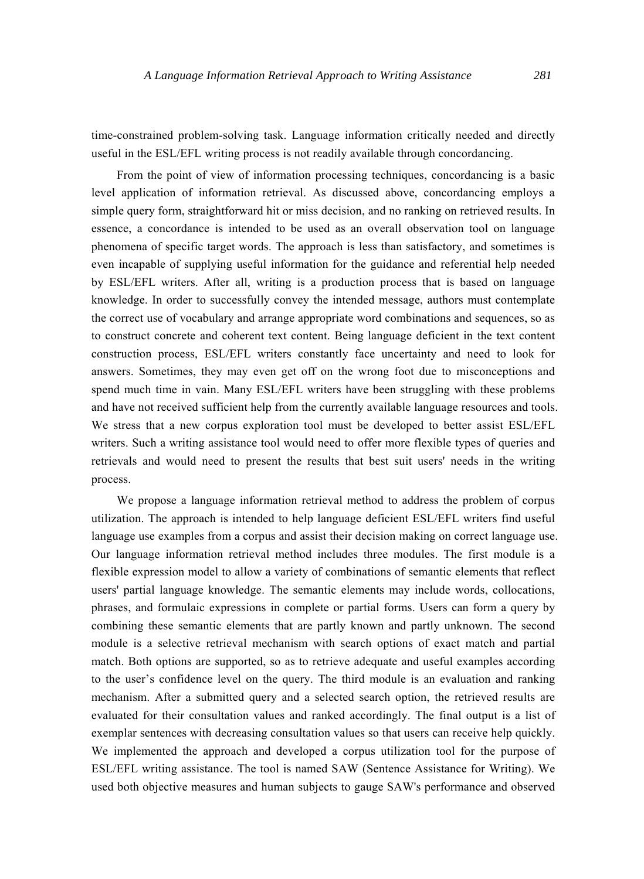time-constrained problem-solving task. Language information critically needed and directly useful in the ESL/EFL writing process is not readily available through concordancing.

From the point of view of information processing techniques, concordancing is a basic level application of information retrieval. As discussed above, concordancing employs a simple query form, straightforward hit or miss decision, and no ranking on retrieved results. In essence, a concordance is intended to be used as an overall observation tool on language phenomena of specific target words. The approach is less than satisfactory, and sometimes is even incapable of supplying useful information for the guidance and referential help needed by ESL/EFL writers. After all, writing is a production process that is based on language knowledge. In order to successfully convey the intended message, authors must contemplate the correct use of vocabulary and arrange appropriate word combinations and sequences, so as to construct concrete and coherent text content. Being language deficient in the text content construction process, ESL/EFL writers constantly face uncertainty and need to look for answers. Sometimes, they may even get off on the wrong foot due to misconceptions and spend much time in vain. Many ESL/EFL writers have been struggling with these problems and have not received sufficient help from the currently available language resources and tools. We stress that a new corpus exploration tool must be developed to better assist ESL/EFL writers. Such a writing assistance tool would need to offer more flexible types of queries and retrievals and would need to present the results that best suit users' needs in the writing process.

We propose a language information retrieval method to address the problem of corpus utilization. The approach is intended to help language deficient ESL/EFL writers find useful language use examples from a corpus and assist their decision making on correct language use. Our language information retrieval method includes three modules. The first module is a flexible expression model to allow a variety of combinations of semantic elements that reflect users' partial language knowledge. The semantic elements may include words, collocations, phrases, and formulaic expressions in complete or partial forms. Users can form a query by combining these semantic elements that are partly known and partly unknown. The second module is a selective retrieval mechanism with search options of exact match and partial match. Both options are supported, so as to retrieve adequate and useful examples according to the user's confidence level on the query. The third module is an evaluation and ranking mechanism. After a submitted query and a selected search option, the retrieved results are evaluated for their consultation values and ranked accordingly. The final output is a list of exemplar sentences with decreasing consultation values so that users can receive help quickly. We implemented the approach and developed a corpus utilization tool for the purpose of ESL/EFL writing assistance. The tool is named SAW (Sentence Assistance for Writing). We used both objective measures and human subjects to gauge SAW's performance and observed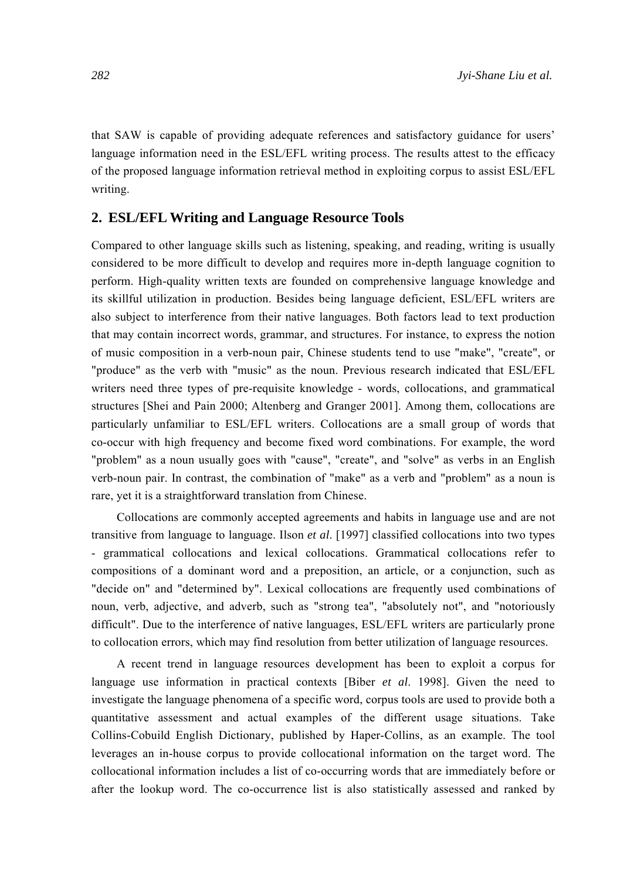that SAW is capable of providing adequate references and satisfactory guidance for users' language information need in the ESL/EFL writing process. The results attest to the efficacy of the proposed language information retrieval method in exploiting corpus to assist ESL/EFL writing.

# **2. ESL/EFL Writing and Language Resource Tools**

Compared to other language skills such as listening, speaking, and reading, writing is usually considered to be more difficult to develop and requires more in-depth language cognition to perform. High-quality written texts are founded on comprehensive language knowledge and its skillful utilization in production. Besides being language deficient, ESL/EFL writers are also subject to interference from their native languages. Both factors lead to text production that may contain incorrect words, grammar, and structures. For instance, to express the notion of music composition in a verb-noun pair, Chinese students tend to use "make", "create", or "produce" as the verb with "music" as the noun. Previous research indicated that ESL/EFL writers need three types of pre-requisite knowledge - words, collocations, and grammatical structures [Shei and Pain 2000; Altenberg and Granger 2001]. Among them, collocations are particularly unfamiliar to ESL/EFL writers. Collocations are a small group of words that co-occur with high frequency and become fixed word combinations. For example, the word "problem" as a noun usually goes with "cause", "create", and "solve" as verbs in an English verb-noun pair. In contrast, the combination of "make" as a verb and "problem" as a noun is rare, yet it is a straightforward translation from Chinese.

Collocations are commonly accepted agreements and habits in language use and are not transitive from language to language. Ilson *et al*. [1997] classified collocations into two types - grammatical collocations and lexical collocations. Grammatical collocations refer to compositions of a dominant word and a preposition, an article, or a conjunction, such as "decide on" and "determined by". Lexical collocations are frequently used combinations of noun, verb, adjective, and adverb, such as "strong tea", "absolutely not", and "notoriously difficult". Due to the interference of native languages, ESL/EFL writers are particularly prone to collocation errors, which may find resolution from better utilization of language resources.

A recent trend in language resources development has been to exploit a corpus for language use information in practical contexts [Biber *et al*. 1998]. Given the need to investigate the language phenomena of a specific word, corpus tools are used to provide both a quantitative assessment and actual examples of the different usage situations. Take Collins-Cobuild English Dictionary, published by Haper-Collins, as an example. The tool leverages an in-house corpus to provide collocational information on the target word. The collocational information includes a list of co-occurring words that are immediately before or after the lookup word. The co-occurrence list is also statistically assessed and ranked by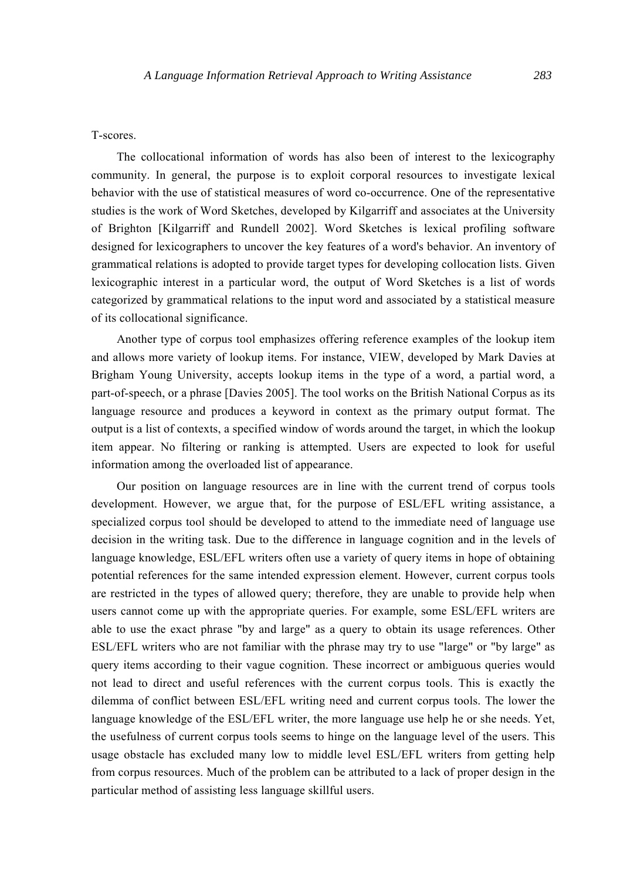#### T-scores.

The collocational information of words has also been of interest to the lexicography community. In general, the purpose is to exploit corporal resources to investigate lexical behavior with the use of statistical measures of word co-occurrence. One of the representative studies is the work of Word Sketches, developed by Kilgarriff and associates at the University of Brighton [Kilgarriff and Rundell 2002]. Word Sketches is lexical profiling software designed for lexicographers to uncover the key features of a word's behavior. An inventory of grammatical relations is adopted to provide target types for developing collocation lists. Given lexicographic interest in a particular word, the output of Word Sketches is a list of words categorized by grammatical relations to the input word and associated by a statistical measure of its collocational significance.

Another type of corpus tool emphasizes offering reference examples of the lookup item and allows more variety of lookup items. For instance, VIEW, developed by Mark Davies at Brigham Young University, accepts lookup items in the type of a word, a partial word, a part-of-speech, or a phrase [Davies 2005]. The tool works on the British National Corpus as its language resource and produces a keyword in context as the primary output format. The output is a list of contexts, a specified window of words around the target, in which the lookup item appear. No filtering or ranking is attempted. Users are expected to look for useful information among the overloaded list of appearance.

Our position on language resources are in line with the current trend of corpus tools development. However, we argue that, for the purpose of ESL/EFL writing assistance, a specialized corpus tool should be developed to attend to the immediate need of language use decision in the writing task. Due to the difference in language cognition and in the levels of language knowledge, ESL/EFL writers often use a variety of query items in hope of obtaining potential references for the same intended expression element. However, current corpus tools are restricted in the types of allowed query; therefore, they are unable to provide help when users cannot come up with the appropriate queries. For example, some ESL/EFL writers are able to use the exact phrase "by and large" as a query to obtain its usage references. Other ESL/EFL writers who are not familiar with the phrase may try to use "large" or "by large" as query items according to their vague cognition. These incorrect or ambiguous queries would not lead to direct and useful references with the current corpus tools. This is exactly the dilemma of conflict between ESL/EFL writing need and current corpus tools. The lower the language knowledge of the ESL/EFL writer, the more language use help he or she needs. Yet, the usefulness of current corpus tools seems to hinge on the language level of the users. This usage obstacle has excluded many low to middle level ESL/EFL writers from getting help from corpus resources. Much of the problem can be attributed to a lack of proper design in the particular method of assisting less language skillful users.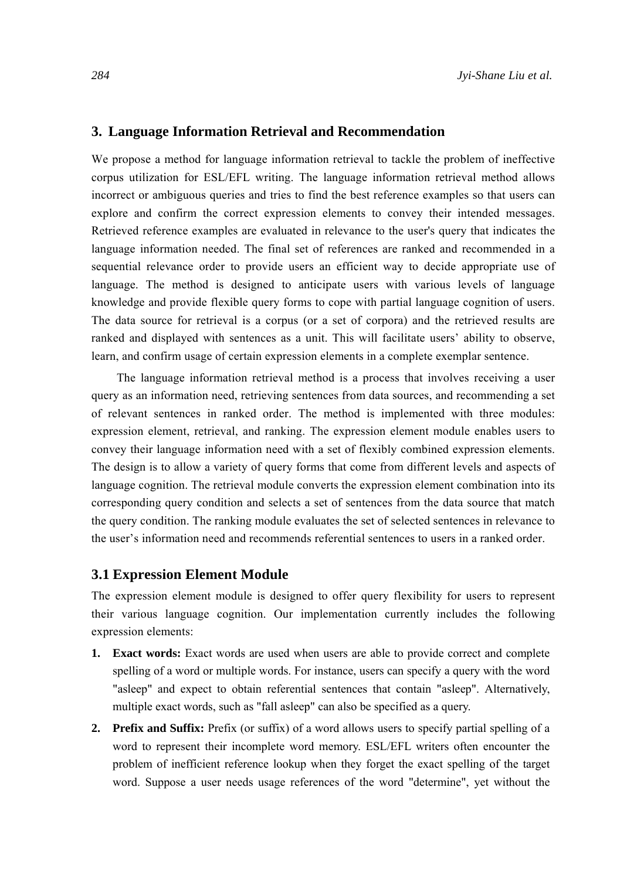### **3. Language Information Retrieval and Recommendation**

We propose a method for language information retrieval to tackle the problem of ineffective corpus utilization for ESL/EFL writing. The language information retrieval method allows incorrect or ambiguous queries and tries to find the best reference examples so that users can explore and confirm the correct expression elements to convey their intended messages. Retrieved reference examples are evaluated in relevance to the user's query that indicates the language information needed. The final set of references are ranked and recommended in a sequential relevance order to provide users an efficient way to decide appropriate use of language. The method is designed to anticipate users with various levels of language knowledge and provide flexible query forms to cope with partial language cognition of users. The data source for retrieval is a corpus (or a set of corpora) and the retrieved results are ranked and displayed with sentences as a unit. This will facilitate users' ability to observe, learn, and confirm usage of certain expression elements in a complete exemplar sentence.

The language information retrieval method is a process that involves receiving a user query as an information need, retrieving sentences from data sources, and recommending a set of relevant sentences in ranked order. The method is implemented with three modules: expression element, retrieval, and ranking. The expression element module enables users to convey their language information need with a set of flexibly combined expression elements. The design is to allow a variety of query forms that come from different levels and aspects of language cognition. The retrieval module converts the expression element combination into its corresponding query condition and selects a set of sentences from the data source that match the query condition. The ranking module evaluates the set of selected sentences in relevance to the user's information need and recommends referential sentences to users in a ranked order.

#### **3.1 Expression Element Module**

The expression element module is designed to offer query flexibility for users to represent their various language cognition. Our implementation currently includes the following expression elements:

- **1. Exact words:** Exact words are used when users are able to provide correct and complete spelling of a word or multiple words. For instance, users can specify a query with the word "asleep" and expect to obtain referential sentences that contain "asleep". Alternatively, multiple exact words, such as "fall asleep" can also be specified as a query.
- **2. Prefix and Suffix:** Prefix (or suffix) of a word allows users to specify partial spelling of a word to represent their incomplete word memory. ESL/EFL writers often encounter the problem of inefficient reference lookup when they forget the exact spelling of the target word. Suppose a user needs usage references of the word "determine", yet without the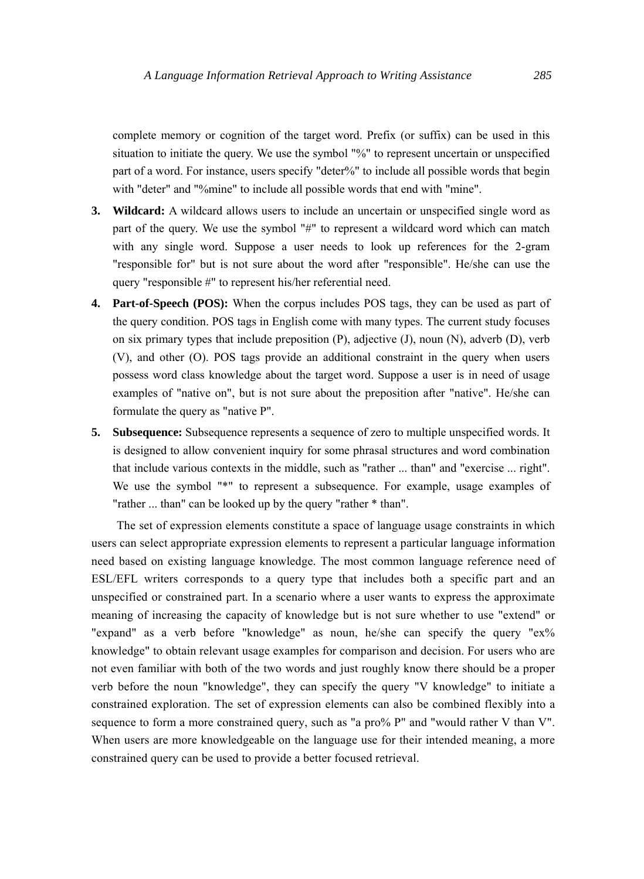complete memory or cognition of the target word. Prefix (or suffix) can be used in this situation to initiate the query. We use the symbol "%" to represent uncertain or unspecified part of a word. For instance, users specify "deter%" to include all possible words that begin with "deter" and "%mine" to include all possible words that end with "mine".

- **3. Wildcard:** A wildcard allows users to include an uncertain or unspecified single word as part of the query. We use the symbol "#" to represent a wildcard word which can match with any single word. Suppose a user needs to look up references for the 2-gram "responsible for" but is not sure about the word after "responsible". He/she can use the query "responsible #" to represent his/her referential need.
- **4. Part-of-Speech (POS):** When the corpus includes POS tags, they can be used as part of the query condition. POS tags in English come with many types. The current study focuses on six primary types that include preposition (P), adjective (J), noun (N), adverb (D), verb (V), and other (O). POS tags provide an additional constraint in the query when users possess word class knowledge about the target word. Suppose a user is in need of usage examples of "native on", but is not sure about the preposition after "native". He/she can formulate the query as "native P".
- **5. Subsequence:** Subsequence represents a sequence of zero to multiple unspecified words. It is designed to allow convenient inquiry for some phrasal structures and word combination that include various contexts in the middle, such as "rather ... than" and "exercise ... right". We use the symbol "\*" to represent a subsequence. For example, usage examples of "rather ... than" can be looked up by the query "rather \* than".

The set of expression elements constitute a space of language usage constraints in which users can select appropriate expression elements to represent a particular language information need based on existing language knowledge. The most common language reference need of ESL/EFL writers corresponds to a query type that includes both a specific part and an unspecified or constrained part. In a scenario where a user wants to express the approximate meaning of increasing the capacity of knowledge but is not sure whether to use "extend" or "expand" as a verb before "knowledge" as noun, he/she can specify the query "ex% knowledge" to obtain relevant usage examples for comparison and decision. For users who are not even familiar with both of the two words and just roughly know there should be a proper verb before the noun "knowledge", they can specify the query "V knowledge" to initiate a constrained exploration. The set of expression elements can also be combined flexibly into a sequence to form a more constrained query, such as "a pro% P" and "would rather V than V". When users are more knowledgeable on the language use for their intended meaning, a more constrained query can be used to provide a better focused retrieval.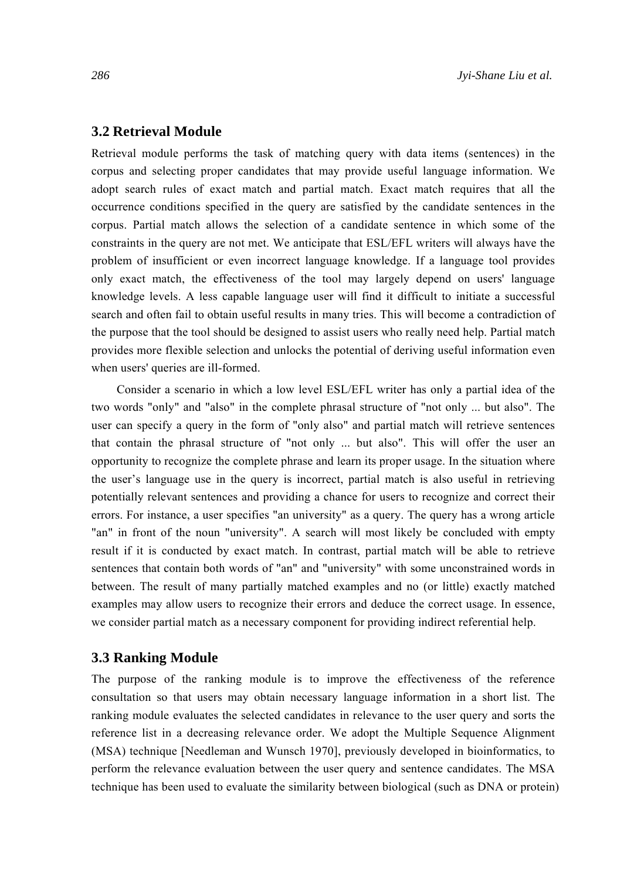## **3.2 Retrieval Module**

Retrieval module performs the task of matching query with data items (sentences) in the corpus and selecting proper candidates that may provide useful language information. We adopt search rules of exact match and partial match. Exact match requires that all the occurrence conditions specified in the query are satisfied by the candidate sentences in the corpus. Partial match allows the selection of a candidate sentence in which some of the constraints in the query are not met. We anticipate that ESL/EFL writers will always have the problem of insufficient or even incorrect language knowledge. If a language tool provides only exact match, the effectiveness of the tool may largely depend on users' language knowledge levels. A less capable language user will find it difficult to initiate a successful search and often fail to obtain useful results in many tries. This will become a contradiction of the purpose that the tool should be designed to assist users who really need help. Partial match provides more flexible selection and unlocks the potential of deriving useful information even when users' queries are ill-formed.

Consider a scenario in which a low level ESL/EFL writer has only a partial idea of the two words "only" and "also" in the complete phrasal structure of "not only ... but also". The user can specify a query in the form of "only also" and partial match will retrieve sentences that contain the phrasal structure of "not only ... but also". This will offer the user an opportunity to recognize the complete phrase and learn its proper usage. In the situation where the user's language use in the query is incorrect, partial match is also useful in retrieving potentially relevant sentences and providing a chance for users to recognize and correct their errors. For instance, a user specifies "an university" as a query. The query has a wrong article "an" in front of the noun "university". A search will most likely be concluded with empty result if it is conducted by exact match. In contrast, partial match will be able to retrieve sentences that contain both words of "an" and "university" with some unconstrained words in between. The result of many partially matched examples and no (or little) exactly matched examples may allow users to recognize their errors and deduce the correct usage. In essence, we consider partial match as a necessary component for providing indirect referential help.

#### **3.3 Ranking Module**

The purpose of the ranking module is to improve the effectiveness of the reference consultation so that users may obtain necessary language information in a short list. The ranking module evaluates the selected candidates in relevance to the user query and sorts the reference list in a decreasing relevance order. We adopt the Multiple Sequence Alignment (MSA) technique [Needleman and Wunsch 1970], previously developed in bioinformatics, to perform the relevance evaluation between the user query and sentence candidates. The MSA technique has been used to evaluate the similarity between biological (such as DNA or protein)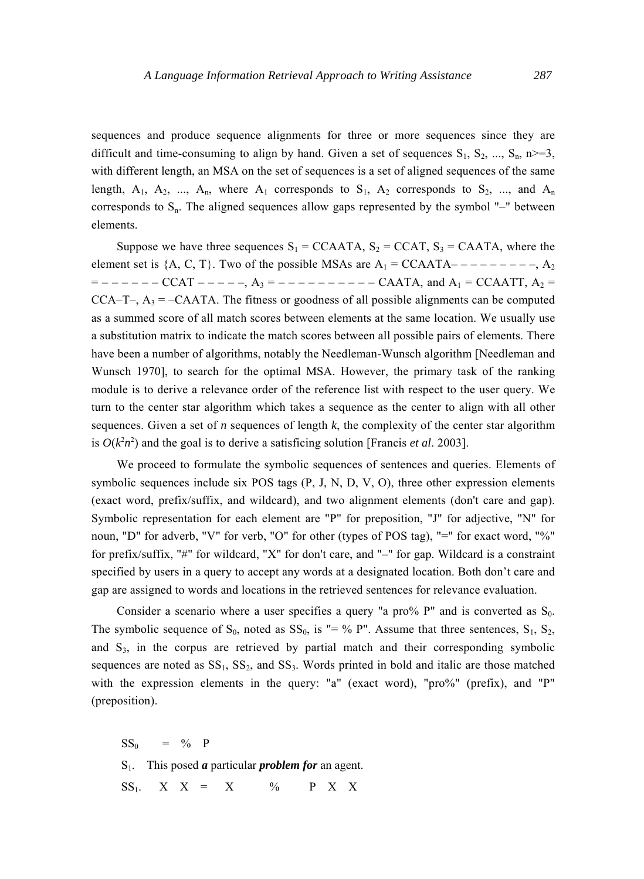sequences and produce sequence alignments for three or more sequences since they are difficult and time-consuming to align by hand. Given a set of sequences  $S_1$ ,  $S_2$ , ...,  $S_n$ , n>=3, with different length, an MSA on the set of sequences is a set of aligned sequences of the same length,  $A_1$ ,  $A_2$ , ...,  $A_n$ , where  $A_1$  corresponds to  $S_1$ ,  $A_2$  corresponds to  $S_2$ , ..., and  $A_n$ corresponds to  $S_n$ . The aligned sequences allow gaps represented by the symbol "-" between elements.

Suppose we have three sequences  $S_1 = CCAATA$ ,  $S_2 = CCAT$ ,  $S_3 = CAATA$ , where the element set is  ${A, C, T}$ . Two of the possible MSAs are  $A_1 = CCAATA - - - - - - - - -$ ,  $A_2$  $=$  – – – – – – CCAT – – – – –,  $A_3$  = – – – – – – – – – – CAATA, and  $A_1$  = CCAATT,  $A_2$  = CCA–T–,  $A_3 = -CAATA$ . The fitness or goodness of all possible alignments can be computed as a summed score of all match scores between elements at the same location. We usually use a substitution matrix to indicate the match scores between all possible pairs of elements. There have been a number of algorithms, notably the Needleman-Wunsch algorithm [Needleman and Wunsch 1970], to search for the optimal MSA. However, the primary task of the ranking module is to derive a relevance order of the reference list with respect to the user query. We turn to the center star algorithm which takes a sequence as the center to align with all other sequences. Given a set of *n* sequences of length  $k$ , the complexity of the center star algorithm is  $O(k^2n^2)$  and the goal is to derive a satisficing solution [Francis *et al.* 2003].

We proceed to formulate the symbolic sequences of sentences and queries. Elements of symbolic sequences include six POS tags (P, J, N, D, V, O), three other expression elements (exact word, prefix/suffix, and wildcard), and two alignment elements (don't care and gap). Symbolic representation for each element are "P" for preposition, "J" for adjective, "N" for noun, "D" for adverb, "V" for verb, "O" for other (types of POS tag), "=" for exact word, "%" for prefix/suffix, "#" for wildcard, "X" for don't care, and "–" for gap. Wildcard is a constraint specified by users in a query to accept any words at a designated location. Both don't care and gap are assigned to words and locations in the retrieved sentences for relevance evaluation.

Consider a scenario where a user specifies a query "a pro% P" and is converted as  $S_0$ . The symbolic sequence of  $S_0$ , noted as  $SS_0$ , is "= % P". Assume that three sentences,  $S_1$ ,  $S_2$ , and  $S_3$ , in the corpus are retrieved by partial match and their corresponding symbolic sequences are noted as  $SS_1$ ,  $SS_2$ , and  $SS_3$ . Words printed in bold and italic are those matched with the expression elements in the query: "a" (exact word), "pro%" (prefix), and "P" (preposition).

 $SS_0 = \% P$ S1. This posed *a* particular *problem for* an agent.  $SS_1$ . X X = X  $\%$  P X X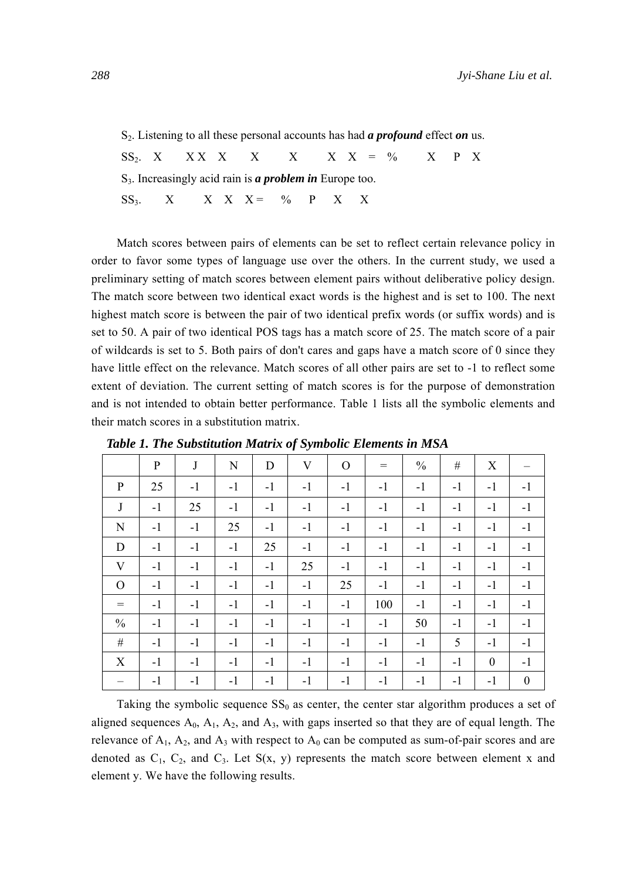S2. Listening to all these personal accounts has had *a profound* effect *on* us.

SS<sub>2</sub>. X X X X X X X X  $=$  % X P X S3. Increasingly acid rain is *a problem in* Europe too.  $SS_3$ . X X X X = % P X X

Match scores between pairs of elements can be set to reflect certain relevance policy in order to favor some types of language use over the others. In the current study, we used a preliminary setting of match scores between element pairs without deliberative policy design. The match score between two identical exact words is the highest and is set to 100. The next highest match score is between the pair of two identical prefix words (or suffix words) and is set to 50. A pair of two identical POS tags has a match score of 25. The match score of a pair of wildcards is set to 5. Both pairs of don't cares and gaps have a match score of 0 since they have little effect on the relevance. Match scores of all other pairs are set to -1 to reflect some extent of deviation. The current setting of match scores is for the purpose of demonstration and is not intended to obtain better performance. Table 1 lists all the symbolic elements and their match scores in a substitution matrix.

|               | P    | $\bf J$ | N    | D    | V    | $\mathbf{O}$ | $=$  | $\frac{0}{0}$ | #    | X        |                  |
|---------------|------|---------|------|------|------|--------------|------|---------------|------|----------|------------------|
| $\mathbf{P}$  | 25   | $-1$    | $-1$ | $-1$ | $-1$ | $-1$         | $-1$ | $-1$          | $-1$ | $-1$     | $-1$             |
| J             | $-1$ | 25      | $-1$ | $-1$ | $-1$ | $-1$         | $-1$ | $-1$          | $-1$ | $-1$     | $-1$             |
| N             | $-1$ | $-1$    | 25   | $-1$ | $-1$ | $-1$         | $-1$ | $-1$          | $-1$ | $-1$     | $-1$             |
| D             | $-1$ | $-1$    | $-1$ | 25   | $-1$ | $-1$         | $-1$ | $-1$          | $-1$ | $-1$     | $-1$             |
| V             | $-1$ | $-1$    | $-1$ | $-1$ | 25   | $-1$         | $-1$ | $-1$          | $-1$ | $-1$     | $-1$             |
| $\Omega$      | $-1$ | $-1$    | $-1$ | $-1$ | $-1$ | 25           | $-1$ | $-1$          | $-1$ | $-1$     | $-1$             |
| $=$           | $-1$ | $-1$    | $-1$ | $-1$ | $-1$ | $-1$         | 100  | $-1$          | $-1$ | $-1$     | $-1$             |
| $\frac{0}{0}$ | $-1$ | $-1$    | $-1$ | $-1$ | $-1$ | $-1$         | $-1$ | 50            | $-1$ | $-1$     | $-1$             |
| #             | $-1$ | $-1$    | $-1$ | $-1$ | $-1$ | $-1$         | $-1$ | $-1$          | 5    | $-1$     | $-1$             |
| X             | $-1$ | $-1$    | $-1$ | $-1$ | $-1$ | $-1$         | $-1$ | $-1$          | $-1$ | $\theta$ | $-1$             |
|               | $-1$ | $-1$    | $-1$ | $-1$ | $-1$ | $-1$         | $-1$ | $-1$          | $-1$ | $-1$     | $\boldsymbol{0}$ |

*Table 1. The Substitution Matrix of Symbolic Elements in MSA* 

Taking the symbolic sequence  $SS_0$  as center, the center star algorithm produces a set of aligned sequences  $A_0$ ,  $A_1$ ,  $A_2$ , and  $A_3$ , with gaps inserted so that they are of equal length. The relevance of  $A_1$ ,  $A_2$ , and  $A_3$  with respect to  $A_0$  can be computed as sum-of-pair scores and are denoted as  $C_1$ ,  $C_2$ , and  $C_3$ . Let  $S(x, y)$  represents the match score between element x and element y. We have the following results.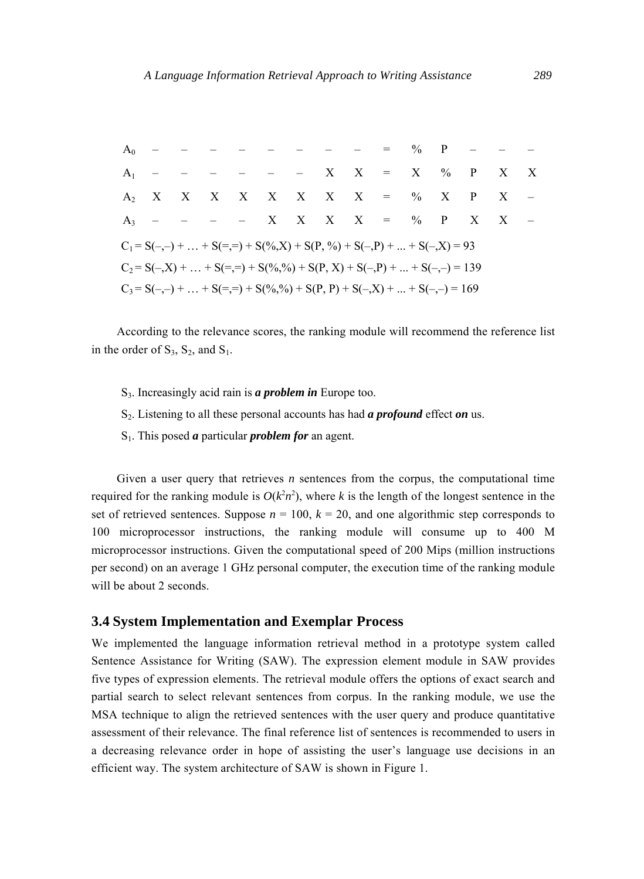|                                                                            |  |  | $A_0$ - - - - - - - - = % P - - -                                               |  |  |  |  |  |  |  |  |  |
|----------------------------------------------------------------------------|--|--|---------------------------------------------------------------------------------|--|--|--|--|--|--|--|--|--|
|                                                                            |  |  | $A_1$ - - - - - - X X = X % P X X                                               |  |  |  |  |  |  |  |  |  |
|                                                                            |  |  | $A_2$ X X X X X X X X = % X P X -                                               |  |  |  |  |  |  |  |  |  |
|                                                                            |  |  | $A_3$ - - - - X X X X = % P X X -                                               |  |  |  |  |  |  |  |  |  |
|                                                                            |  |  | $C_1 = S(-,-) +  + S(=,-) + S(\%0, X) + S(P, \%0) + S(-, P) +  + S(-, X) = 93$  |  |  |  |  |  |  |  |  |  |
|                                                                            |  |  | $C_2 = S(-, X) +  + S(=, =) + S(\%, \%) + S(P, X) + S(-, P) +  + S(-, =) = 139$ |  |  |  |  |  |  |  |  |  |
| $C_3 = S(-,-) +  + S(=,-) + S(\%,\%) + S(P, P) + S(-,X) +  + S(-,-) = 169$ |  |  |                                                                                 |  |  |  |  |  |  |  |  |  |

According to the relevance scores, the ranking module will recommend the reference list in the order of  $S_3$ ,  $S_2$ , and  $S_1$ .

- S3. Increasingly acid rain is *a problem in* Europe too.
- S2. Listening to all these personal accounts has had *a profound* effect *on* us.
- S1. This posed *a* particular *problem for* an agent.

Given a user query that retrieves *n* sentences from the corpus, the computational time required for the ranking module is  $O(k^2n^2)$ , where *k* is the length of the longest sentence in the set of retrieved sentences. Suppose  $n = 100$ ,  $k = 20$ , and one algorithmic step corresponds to 100 microprocessor instructions, the ranking module will consume up to 400 M microprocessor instructions. Given the computational speed of 200 Mips (million instructions per second) on an average 1 GHz personal computer, the execution time of the ranking module will be about 2 seconds.

## **3.4 System Implementation and Exemplar Process**

We implemented the language information retrieval method in a prototype system called Sentence Assistance for Writing (SAW). The expression element module in SAW provides five types of expression elements. The retrieval module offers the options of exact search and partial search to select relevant sentences from corpus. In the ranking module, we use the MSA technique to align the retrieved sentences with the user query and produce quantitative assessment of their relevance. The final reference list of sentences is recommended to users in a decreasing relevance order in hope of assisting the user's language use decisions in an efficient way. The system architecture of SAW is shown in Figure 1.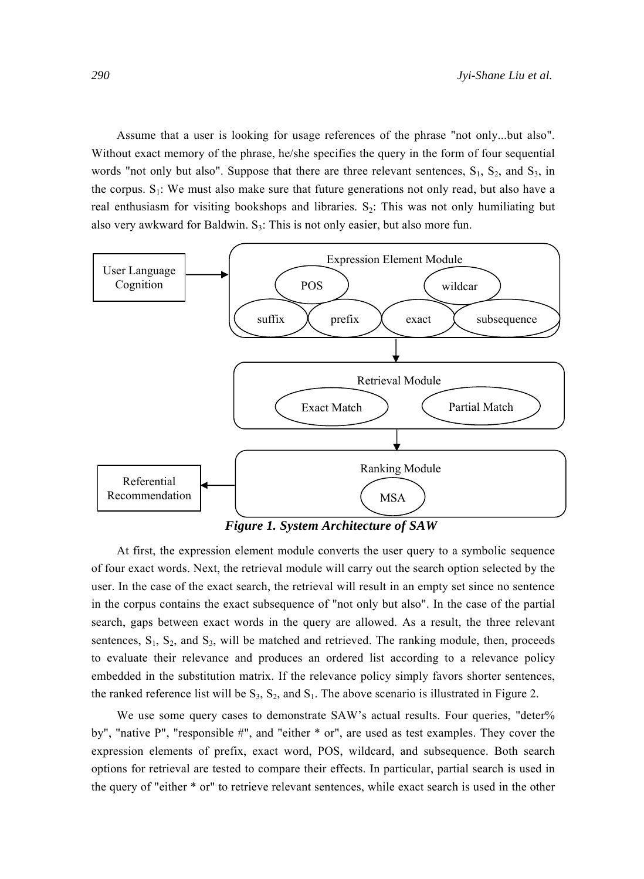Assume that a user is looking for usage references of the phrase "not only...but also". Without exact memory of the phrase, he/she specifies the query in the form of four sequential words "not only but also". Suppose that there are three relevant sentences,  $S_1$ ,  $S_2$ , and  $S_3$ , in the corpus.  $S_1$ : We must also make sure that future generations not only read, but also have a real enthusiasm for visiting bookshops and libraries.  $S_2$ : This was not only humiliating but also very awkward for Baldwin.  $S_3$ : This is not only easier, but also more fun.



*Figure 1. System Architecture of SAW* 

At first, the expression element module converts the user query to a symbolic sequence of four exact words. Next, the retrieval module will carry out the search option selected by the user. In the case of the exact search, the retrieval will result in an empty set since no sentence in the corpus contains the exact subsequence of "not only but also". In the case of the partial search, gaps between exact words in the query are allowed. As a result, the three relevant sentences,  $S_1$ ,  $S_2$ , and  $S_3$ , will be matched and retrieved. The ranking module, then, proceeds to evaluate their relevance and produces an ordered list according to a relevance policy embedded in the substitution matrix. If the relevance policy simply favors shorter sentences, the ranked reference list will be  $S_3$ ,  $S_2$ , and  $S_1$ . The above scenario is illustrated in Figure 2.

We use some query cases to demonstrate SAW's actual results. Four queries, "deter% by", "native P", "responsible #", and "either \* or", are used as test examples. They cover the expression elements of prefix, exact word, POS, wildcard, and subsequence. Both search options for retrieval are tested to compare their effects. In particular, partial search is used in the query of "either \* or" to retrieve relevant sentences, while exact search is used in the other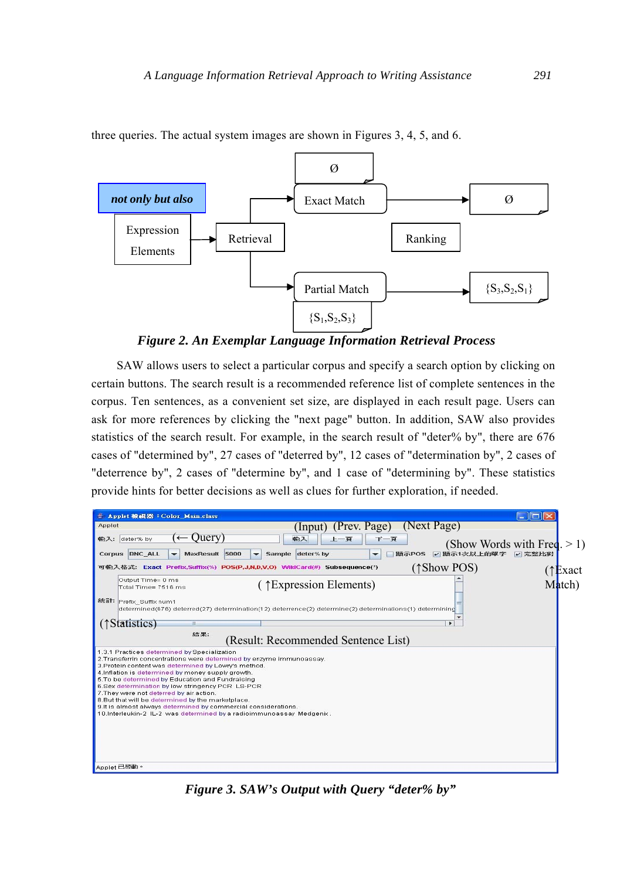

three queries. The actual system images are shown in Figures 3, 4, 5, and 6.

*Figure 2. An Exemplar Language Information Retrieval Process* 

SAW allows users to select a particular corpus and specify a search option by clicking on certain buttons. The search result is a recommended reference list of complete sentences in the corpus. Ten sentences, as a convenient set size, are displayed in each result page. Users can ask for more references by clicking the "next page" button. In addition, SAW also provides statistics of the search result. For example, in the search result of "deter% by", there are 676 cases of "determined by", 27 cases of "deterred by", 12 cases of "determination by", 2 cases of "deterrence by", 2 cases of "determine by", and 1 case of "determining by". These statistics provide hints for better decisions as well as clues for further exploration, if needed.



*Figure 3. SAW's Output with Query "deter% by"*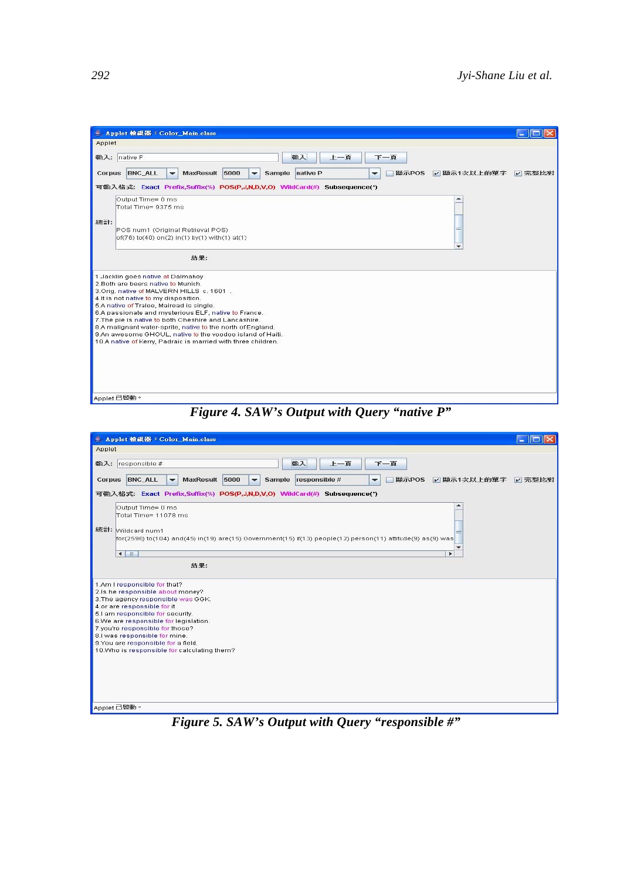| <b>▲ Applet 檢視器: Color Main.class</b>                                                                                                                                                                                                                                                                                                                                                                                                                                                                                   |  |
|-------------------------------------------------------------------------------------------------------------------------------------------------------------------------------------------------------------------------------------------------------------------------------------------------------------------------------------------------------------------------------------------------------------------------------------------------------------------------------------------------------------------------|--|
| Applet                                                                                                                                                                                                                                                                                                                                                                                                                                                                                                                  |  |
| 上一頁<br>輸入: native P<br>輸入<br>下一頁                                                                                                                                                                                                                                                                                                                                                                                                                                                                                        |  |
| Corpus BNC ALL<br>MaxResult 5000<br>Sample native P<br>顯示POS V 顯示1次以上的單字 V 完整比對<br>$\overline{\phantom{a}}$<br>$\checkmark$<br>۰                                                                                                                                                                                                                                                                                                                                                                                        |  |
| 可输入格式: Exact Prefix,Suffix(%) POS(P,J,N,D,V,O) WildCard(#) Subsequence(*)                                                                                                                                                                                                                                                                                                                                                                                                                                               |  |
| Output Time= 0 ms<br>Total Time= 9375 ms<br>統計:                                                                                                                                                                                                                                                                                                                                                                                                                                                                         |  |
| POS num1 (Original Retrieval POS)<br>of(76) to(40) on(2) in(1) by(1) with(1) at(1)                                                                                                                                                                                                                                                                                                                                                                                                                                      |  |
| 結果:                                                                                                                                                                                                                                                                                                                                                                                                                                                                                                                     |  |
| 1.Jacklin goes native at Dalmahoy<br>2. Both are beers native to Munich.<br>3.Orig. native of MALVERN HILLS c. 1601.<br>4.It is not native to my disposition.<br>5.A native of Tralee, Mairead is single.<br>6.A passionate and mysterious ELF, native to France.<br>7. The pie is native to both Cheshire and Lancashire.<br>8.A malignant water-sprite, native to the north of England.<br>9.An awesome GHOUL, native to the voodoo island of Haiti.<br>10.A native of Kerry, Padraic is married with three children. |  |
| Applet 已啓動。                                                                                                                                                                                                                                                                                                                                                                                                                                                                                                             |  |

*Figure 4. SAW's Output with Query "native P"* 

| <b>▲ Applet 檢視器: Color Main.class</b>                                                                                                                                                                                                                                                                                                                                         |        |
|-------------------------------------------------------------------------------------------------------------------------------------------------------------------------------------------------------------------------------------------------------------------------------------------------------------------------------------------------------------------------------|--------|
| Applet                                                                                                                                                                                                                                                                                                                                                                        |        |
| 輸入: responsible #<br>輸入<br>上一頁<br>下一百<br>Corpus BNC_ALL<br>5000<br><b>MaxResult</b><br>responsible #<br>顯示POS<br>☑ 顯示1次以上的單字<br><b>Sample</b><br>$\overline{\phantom{0}}$<br>$\overline{\phantom{0}}$<br>$\overline{\phantom{0}}$                                                                                                                                             | √ 完整比對 |
| 可输入格式: Exact Prefix,Suffix(%) POS(P,J,N,D,V,O) WildCard(#) Subsequence(*)<br>Output Time= 0 ms<br>Total Time= 11078 ms<br>統計: Wildcard num1<br>for(2596) to(104) and(45) in(19) are(15) Government(15) if(13) people(12) person(11) attitude(9) as(9) was<br>$\mathbf{r}$                                                                                                     |        |
| $\leftarrow$<br>٠<br>結果:                                                                                                                                                                                                                                                                                                                                                      |        |
| 1.Am I responsible for that?<br>2.is he responsible about money?<br>3. The agency responsible was GGK.<br>4.or are responsible for it<br>5.I am responsible for security.<br>6.We are responsible for legislation.<br>7.you're responsible for those?<br>8.I was responsible for mine.<br>9. You are responsible for a field.<br>10. Who is responsible for calculating them? |        |
| Applet 已啓動。<br>$\cdot$ $\sim$<br>$\cdot$ $\cdot$<br>$\cdots$<br>--<br>$\sim$ $\sim$ $\sim$ $\sim$ $\sim$<br>,,                                                                                                                                                                                                                                                                |        |

*Figure 5. SAW's Output with Query "responsible #"*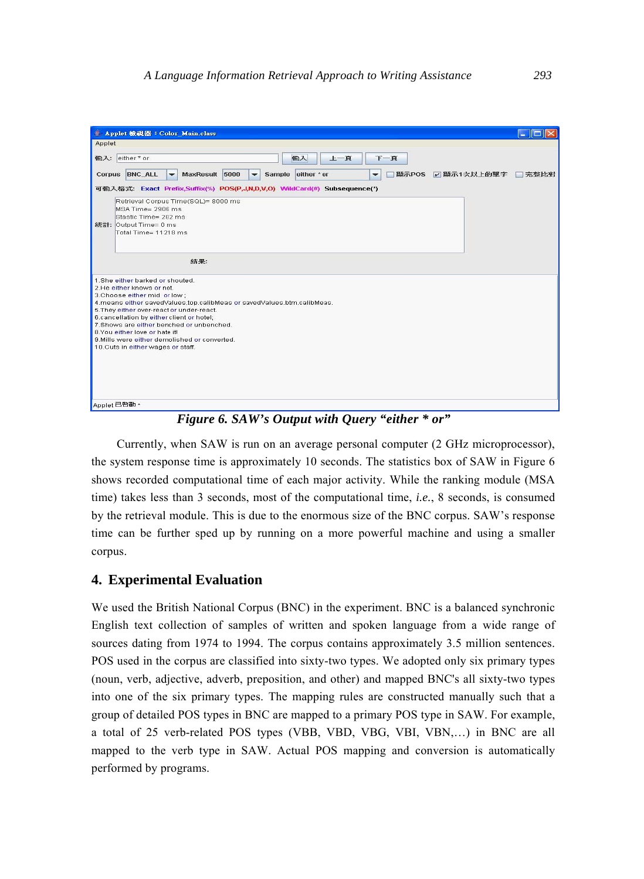| ■ Applet 檢視器: Color_Main.class<br>Applet                                                                                                                                                                                                                                                                                                                                                                                              |      |
|---------------------------------------------------------------------------------------------------------------------------------------------------------------------------------------------------------------------------------------------------------------------------------------------------------------------------------------------------------------------------------------------------------------------------------------|------|
| 輸入<br>輸入: either*or<br>下一百<br>上一百                                                                                                                                                                                                                                                                                                                                                                                                     |      |
| Corpus BNC ALL<br>5000<br>either * or<br><b>MaxResult</b><br><b>Sample</b><br>顯示POS / 顯示1次以上的單字<br>$\overline{\phantom{0}}$<br>$\overline{\phantom{a}}$<br>$\overline{\phantom{a}}$                                                                                                                                                                                                                                                   | 完整比對 |
| 可输入格式: Exact Prefix,Suffix(%) POS(P,J,N,D,V,O) WildCard(#) Subsequence(*)                                                                                                                                                                                                                                                                                                                                                             |      |
| Retrieval Corpus Time(SQL)= 8000 ms<br>MSA Time= 2906 ms<br>Stastic Time= 282 ms<br>統計: Output Time= 0 ms<br>Total Time= 11218 ms                                                                                                                                                                                                                                                                                                     |      |
| 結果:                                                                                                                                                                                                                                                                                                                                                                                                                                   |      |
| 1. She either barked or shouted<br>2. He either knows or not<br>3.Choose either mid or low;<br>4.means either savedValues.top.calibMeas or savedValues.btm.calibMeas.<br>5. They either over-react or under-react.<br>6.cancellation by either client or hotel;<br>7. Shows are either benched or unbenched.<br>8. You either love or hate it!<br>9. Mills were either demolished or converted.<br>10. Cuts in either wages or staff. |      |
|                                                                                                                                                                                                                                                                                                                                                                                                                                       |      |

*Figure 6. SAW's Output with Query "either \* or"* 

Currently, when SAW is run on an average personal computer (2 GHz microprocessor), the system response time is approximately 10 seconds. The statistics box of SAW in Figure 6 shows recorded computational time of each major activity. While the ranking module (MSA time) takes less than 3 seconds, most of the computational time, *i.e.*, 8 seconds, is consumed by the retrieval module. This is due to the enormous size of the BNC corpus. SAW's response time can be further sped up by running on a more powerful machine and using a smaller corpus.

### **4. Experimental Evaluation**

We used the British National Corpus (BNC) in the experiment. BNC is a balanced synchronic English text collection of samples of written and spoken language from a wide range of sources dating from 1974 to 1994. The corpus contains approximately 3.5 million sentences. POS used in the corpus are classified into sixty-two types. We adopted only six primary types (noun, verb, adjective, adverb, preposition, and other) and mapped BNC's all sixty-two types into one of the six primary types. The mapping rules are constructed manually such that a group of detailed POS types in BNC are mapped to a primary POS type in SAW. For example, a total of 25 verb-related POS types (VBB, VBD, VBG, VBI, VBN,…) in BNC are all mapped to the verb type in SAW. Actual POS mapping and conversion is automatically performed by programs.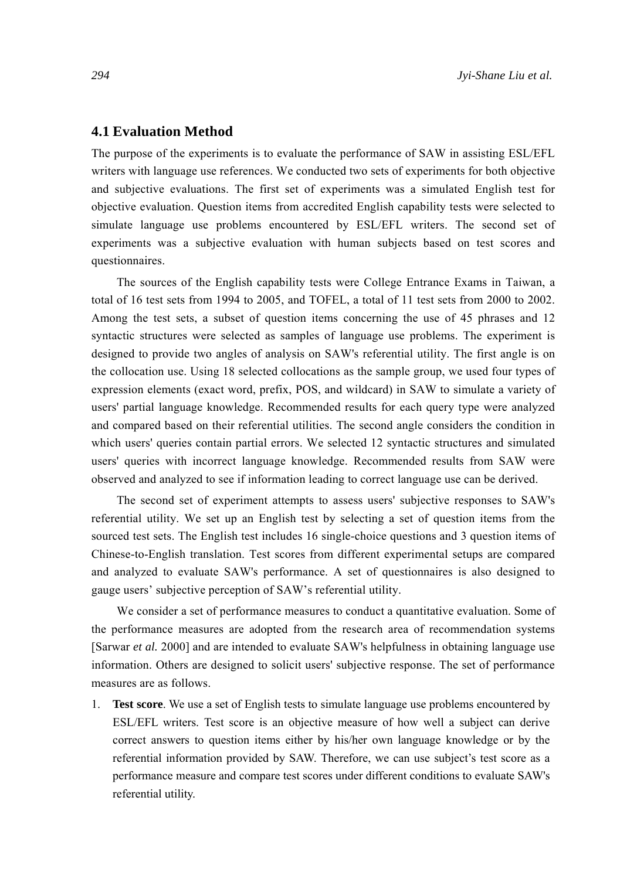### **4.1 Evaluation Method**

The purpose of the experiments is to evaluate the performance of SAW in assisting ESL/EFL writers with language use references. We conducted two sets of experiments for both objective and subjective evaluations. The first set of experiments was a simulated English test for objective evaluation. Question items from accredited English capability tests were selected to simulate language use problems encountered by ESL/EFL writers. The second set of experiments was a subjective evaluation with human subjects based on test scores and questionnaires.

The sources of the English capability tests were College Entrance Exams in Taiwan, a total of 16 test sets from 1994 to 2005, and TOFEL, a total of 11 test sets from 2000 to 2002. Among the test sets, a subset of question items concerning the use of 45 phrases and 12 syntactic structures were selected as samples of language use problems. The experiment is designed to provide two angles of analysis on SAW's referential utility. The first angle is on the collocation use. Using 18 selected collocations as the sample group, we used four types of expression elements (exact word, prefix, POS, and wildcard) in SAW to simulate a variety of users' partial language knowledge. Recommended results for each query type were analyzed and compared based on their referential utilities. The second angle considers the condition in which users' queries contain partial errors. We selected 12 syntactic structures and simulated users' queries with incorrect language knowledge. Recommended results from SAW were observed and analyzed to see if information leading to correct language use can be derived.

The second set of experiment attempts to assess users' subjective responses to SAW's referential utility. We set up an English test by selecting a set of question items from the sourced test sets. The English test includes 16 single-choice questions and 3 question items of Chinese-to-English translation. Test scores from different experimental setups are compared and analyzed to evaluate SAW's performance. A set of questionnaires is also designed to gauge users' subjective perception of SAW's referential utility.

We consider a set of performance measures to conduct a quantitative evaluation. Some of the performance measures are adopted from the research area of recommendation systems [Sarwar *et al.* 2000] and are intended to evaluate SAW's helpfulness in obtaining language use information. Others are designed to solicit users' subjective response. The set of performance measures are as follows.

1. **Test score**. We use a set of English tests to simulate language use problems encountered by ESL/EFL writers. Test score is an objective measure of how well a subject can derive correct answers to question items either by his/her own language knowledge or by the referential information provided by SAW. Therefore, we can use subject's test score as a performance measure and compare test scores under different conditions to evaluate SAW's referential utility.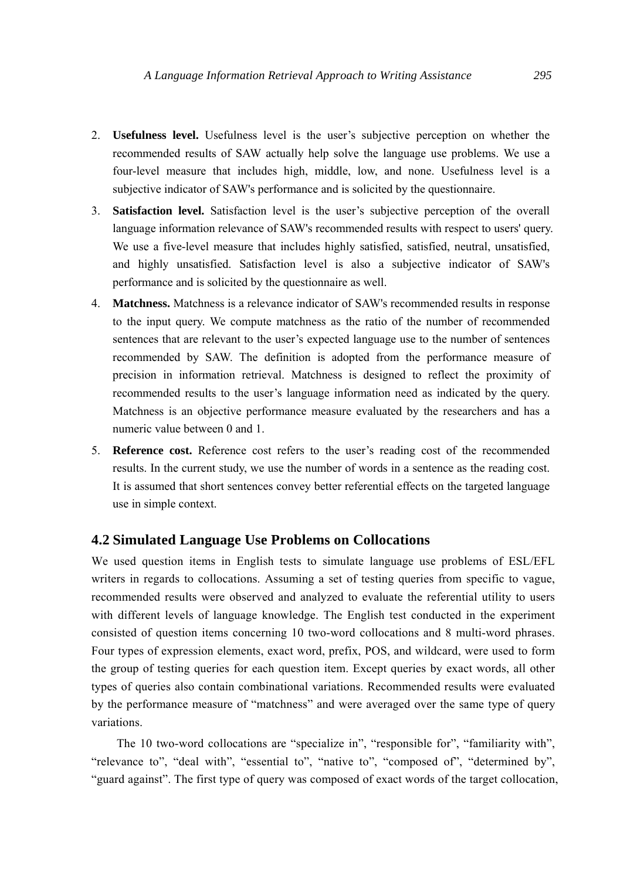- 2. **Usefulness level.** Usefulness level is the user's subjective perception on whether the recommended results of SAW actually help solve the language use problems. We use a four-level measure that includes high, middle, low, and none. Usefulness level is a subjective indicator of SAW's performance and is solicited by the questionnaire.
- 3. **Satisfaction level.** Satisfaction level is the user's subjective perception of the overall language information relevance of SAW's recommended results with respect to users' query. We use a five-level measure that includes highly satisfied, satisfied, neutral, unsatisfied, and highly unsatisfied. Satisfaction level is also a subjective indicator of SAW's performance and is solicited by the questionnaire as well.
- 4. **Matchness.** Matchness is a relevance indicator of SAW's recommended results in response to the input query. We compute matchness as the ratio of the number of recommended sentences that are relevant to the user's expected language use to the number of sentences recommended by SAW. The definition is adopted from the performance measure of precision in information retrieval. Matchness is designed to reflect the proximity of recommended results to the user's language information need as indicated by the query. Matchness is an objective performance measure evaluated by the researchers and has a numeric value between 0 and 1.
- 5. **Reference cost.** Reference cost refers to the user's reading cost of the recommended results. In the current study, we use the number of words in a sentence as the reading cost. It is assumed that short sentences convey better referential effects on the targeted language use in simple context.

### **4.2 Simulated Language Use Problems on Collocations**

We used question items in English tests to simulate language use problems of ESL/EFL writers in regards to collocations. Assuming a set of testing queries from specific to vague, recommended results were observed and analyzed to evaluate the referential utility to users with different levels of language knowledge. The English test conducted in the experiment consisted of question items concerning 10 two-word collocations and 8 multi-word phrases. Four types of expression elements, exact word, prefix, POS, and wildcard, were used to form the group of testing queries for each question item. Except queries by exact words, all other types of queries also contain combinational variations. Recommended results were evaluated by the performance measure of "matchness" and were averaged over the same type of query variations.

The 10 two-word collocations are "specialize in", "responsible for", "familiarity with", "relevance to", "deal with", "essential to", "native to", "composed of", "determined by", "guard against". The first type of query was composed of exact words of the target collocation,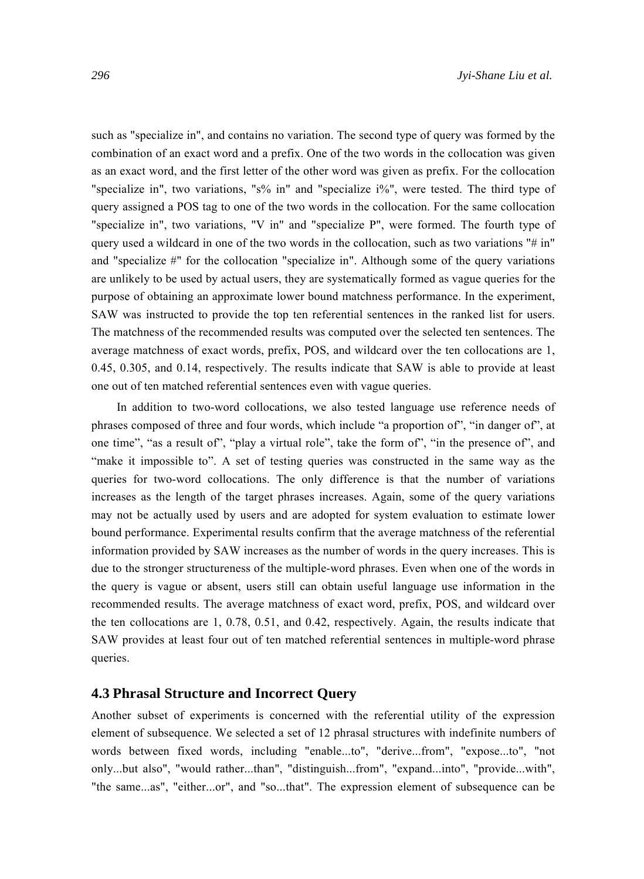such as "specialize in", and contains no variation. The second type of query was formed by the combination of an exact word and a prefix. One of the two words in the collocation was given as an exact word, and the first letter of the other word was given as prefix. For the collocation "specialize in", two variations, "s% in" and "specialize i%", were tested. The third type of query assigned a POS tag to one of the two words in the collocation. For the same collocation "specialize in", two variations, "V in" and "specialize P", were formed. The fourth type of query used a wildcard in one of the two words in the collocation, such as two variations " $\#$  in" and "specialize #" for the collocation "specialize in". Although some of the query variations are unlikely to be used by actual users, they are systematically formed as vague queries for the purpose of obtaining an approximate lower bound matchness performance. In the experiment, SAW was instructed to provide the top ten referential sentences in the ranked list for users. The matchness of the recommended results was computed over the selected ten sentences. The average matchness of exact words, prefix, POS, and wildcard over the ten collocations are 1, 0.45, 0.305, and 0.14, respectively. The results indicate that SAW is able to provide at least one out of ten matched referential sentences even with vague queries.

In addition to two-word collocations, we also tested language use reference needs of phrases composed of three and four words, which include "a proportion of", "in danger of", at one time", "as a result of", "play a virtual role", take the form of", "in the presence of", and "make it impossible to". A set of testing queries was constructed in the same way as the queries for two-word collocations. The only difference is that the number of variations increases as the length of the target phrases increases. Again, some of the query variations may not be actually used by users and are adopted for system evaluation to estimate lower bound performance. Experimental results confirm that the average matchness of the referential information provided by SAW increases as the number of words in the query increases. This is due to the stronger structureness of the multiple-word phrases. Even when one of the words in the query is vague or absent, users still can obtain useful language use information in the recommended results. The average matchness of exact word, prefix, POS, and wildcard over the ten collocations are 1, 0.78, 0.51, and 0.42, respectively. Again, the results indicate that SAW provides at least four out of ten matched referential sentences in multiple-word phrase queries.

#### **4.3 Phrasal Structure and Incorrect Query**

Another subset of experiments is concerned with the referential utility of the expression element of subsequence. We selected a set of 12 phrasal structures with indefinite numbers of words between fixed words, including "enable...to", "derive...from", "expose...to", "not only...but also", "would rather...than", "distinguish...from", "expand...into", "provide...with", "the same...as", "either...or", and "so...that". The expression element of subsequence can be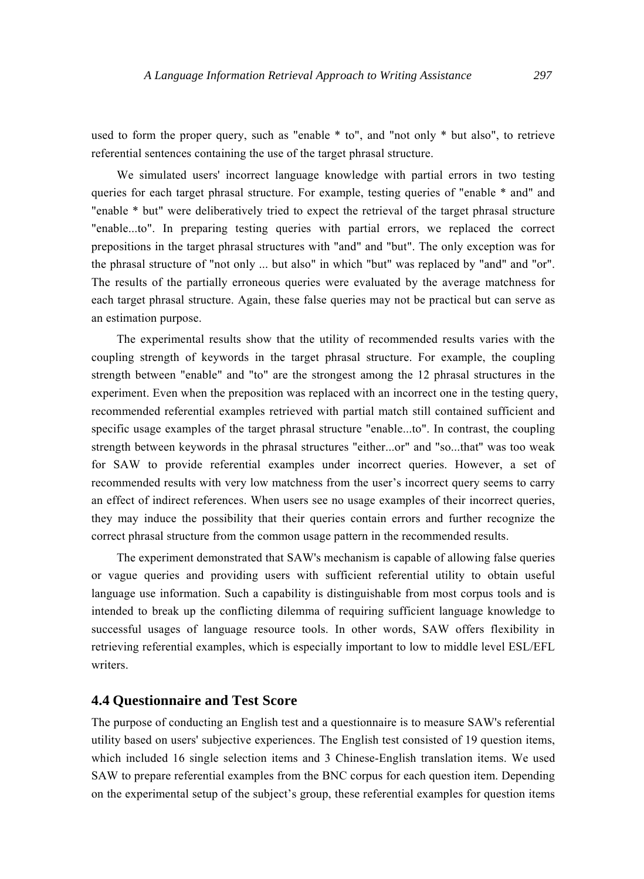used to form the proper query, such as "enable \* to", and "not only \* but also", to retrieve referential sentences containing the use of the target phrasal structure.

We simulated users' incorrect language knowledge with partial errors in two testing queries for each target phrasal structure. For example, testing queries of "enable \* and" and "enable \* but" were deliberatively tried to expect the retrieval of the target phrasal structure "enable...to". In preparing testing queries with partial errors, we replaced the correct prepositions in the target phrasal structures with "and" and "but". The only exception was for the phrasal structure of "not only ... but also" in which "but" was replaced by "and" and "or". The results of the partially erroneous queries were evaluated by the average matchness for each target phrasal structure. Again, these false queries may not be practical but can serve as an estimation purpose.

The experimental results show that the utility of recommended results varies with the coupling strength of keywords in the target phrasal structure. For example, the coupling strength between "enable" and "to" are the strongest among the 12 phrasal structures in the experiment. Even when the preposition was replaced with an incorrect one in the testing query, recommended referential examples retrieved with partial match still contained sufficient and specific usage examples of the target phrasal structure "enable...to". In contrast, the coupling strength between keywords in the phrasal structures "either...or" and "so...that" was too weak for SAW to provide referential examples under incorrect queries. However, a set of recommended results with very low matchness from the user's incorrect query seems to carry an effect of indirect references. When users see no usage examples of their incorrect queries, they may induce the possibility that their queries contain errors and further recognize the correct phrasal structure from the common usage pattern in the recommended results.

The experiment demonstrated that SAW's mechanism is capable of allowing false queries or vague queries and providing users with sufficient referential utility to obtain useful language use information. Such a capability is distinguishable from most corpus tools and is intended to break up the conflicting dilemma of requiring sufficient language knowledge to successful usages of language resource tools. In other words, SAW offers flexibility in retrieving referential examples, which is especially important to low to middle level ESL/EFL writers.

### **4.4 Questionnaire and Test Score**

The purpose of conducting an English test and a questionnaire is to measure SAW's referential utility based on users' subjective experiences. The English test consisted of 19 question items, which included 16 single selection items and 3 Chinese-English translation items. We used SAW to prepare referential examples from the BNC corpus for each question item. Depending on the experimental setup of the subject's group, these referential examples for question items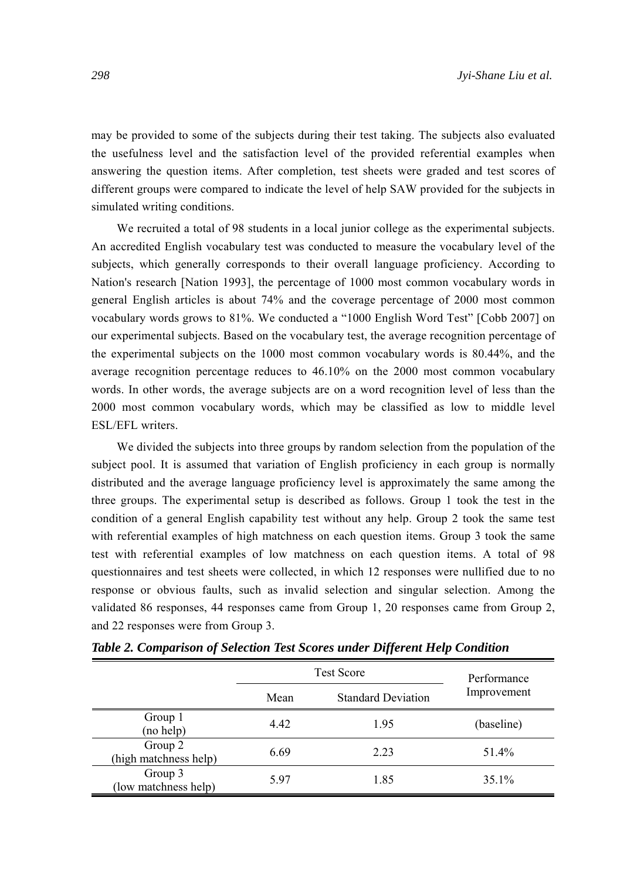may be provided to some of the subjects during their test taking. The subjects also evaluated the usefulness level and the satisfaction level of the provided referential examples when answering the question items. After completion, test sheets were graded and test scores of different groups were compared to indicate the level of help SAW provided for the subjects in simulated writing conditions.

We recruited a total of 98 students in a local junior college as the experimental subjects. An accredited English vocabulary test was conducted to measure the vocabulary level of the subjects, which generally corresponds to their overall language proficiency. According to Nation's research [Nation 1993], the percentage of 1000 most common vocabulary words in general English articles is about 74% and the coverage percentage of 2000 most common vocabulary words grows to 81%. We conducted a "1000 English Word Test" [Cobb 2007] on our experimental subjects. Based on the vocabulary test, the average recognition percentage of the experimental subjects on the 1000 most common vocabulary words is 80.44%, and the average recognition percentage reduces to 46.10% on the 2000 most common vocabulary words. In other words, the average subjects are on a word recognition level of less than the 2000 most common vocabulary words, which may be classified as low to middle level ESL/EFL writers.

We divided the subjects into three groups by random selection from the population of the subject pool. It is assumed that variation of English proficiency in each group is normally distributed and the average language proficiency level is approximately the same among the three groups. The experimental setup is described as follows. Group 1 took the test in the condition of a general English capability test without any help. Group 2 took the same test with referential examples of high matchness on each question items. Group 3 took the same test with referential examples of low matchness on each question items. A total of 98 questionnaires and test sheets were collected, in which 12 responses were nullified due to no response or obvious faults, such as invalid selection and singular selection. Among the validated 86 responses, 44 responses came from Group 1, 20 responses came from Group 2, and 22 responses were from Group 3.

|                                  | <b>Test Score</b> | Performance               |             |
|----------------------------------|-------------------|---------------------------|-------------|
|                                  | Mean              | <b>Standard Deviation</b> | Improvement |
| Group 1<br>(no help)             | 4.42              | 1.95                      | (baseline)  |
| Group 2<br>(high matchness help) | 6.69              | 2.23                      | 51.4%       |
| Group 3<br>(low matchness help)  | 5.97              | 1.85                      | 35.1%       |

*Table 2. Comparison of Selection Test Scores under Different Help Condition*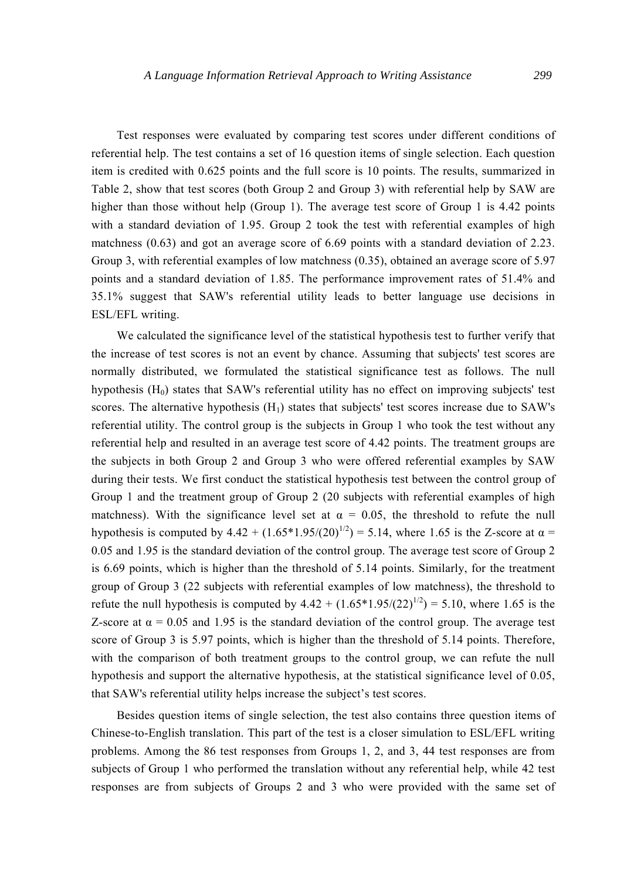Test responses were evaluated by comparing test scores under different conditions of referential help. The test contains a set of 16 question items of single selection. Each question item is credited with 0.625 points and the full score is 10 points. The results, summarized in Table 2, show that test scores (both Group 2 and Group 3) with referential help by SAW are higher than those without help (Group 1). The average test score of Group 1 is 4.42 points with a standard deviation of 1.95. Group 2 took the test with referential examples of high matchness (0.63) and got an average score of 6.69 points with a standard deviation of 2.23. Group 3, with referential examples of low matchness (0.35), obtained an average score of 5.97 points and a standard deviation of 1.85. The performance improvement rates of 51.4% and 35.1% suggest that SAW's referential utility leads to better language use decisions in ESL/EFL writing.

We calculated the significance level of the statistical hypothesis test to further verify that the increase of test scores is not an event by chance. Assuming that subjects' test scores are normally distributed, we formulated the statistical significance test as follows. The null hypothesis  $(H_0)$  states that SAW's referential utility has no effect on improving subjects' test scores. The alternative hypothesis  $(H_1)$  states that subjects' test scores increase due to SAW's referential utility. The control group is the subjects in Group 1 who took the test without any referential help and resulted in an average test score of 4.42 points. The treatment groups are the subjects in both Group 2 and Group 3 who were offered referential examples by SAW during their tests. We first conduct the statistical hypothesis test between the control group of Group 1 and the treatment group of Group 2 (20 subjects with referential examples of high matchness). With the significance level set at  $\alpha = 0.05$ , the threshold to refute the null hypothesis is computed by  $4.42 + (1.65*1.95/(20)^{1/2}) = 5.14$ , where 1.65 is the Z-score at  $\alpha =$ 0.05 and 1.95 is the standard deviation of the control group. The average test score of Group 2 is 6.69 points, which is higher than the threshold of 5.14 points. Similarly, for the treatment group of Group 3 (22 subjects with referential examples of low matchness), the threshold to refute the null hypothesis is computed by  $4.42 + (1.65*1.95/(22)^{1/2}) = 5.10$ , where 1.65 is the Z-score at  $\alpha$  = 0.05 and 1.95 is the standard deviation of the control group. The average test score of Group 3 is 5.97 points, which is higher than the threshold of 5.14 points. Therefore, with the comparison of both treatment groups to the control group, we can refute the null hypothesis and support the alternative hypothesis, at the statistical significance level of 0.05, that SAW's referential utility helps increase the subject's test scores.

Besides question items of single selection, the test also contains three question items of Chinese-to-English translation. This part of the test is a closer simulation to ESL/EFL writing problems. Among the 86 test responses from Groups 1, 2, and 3, 44 test responses are from subjects of Group 1 who performed the translation without any referential help, while 42 test responses are from subjects of Groups 2 and 3 who were provided with the same set of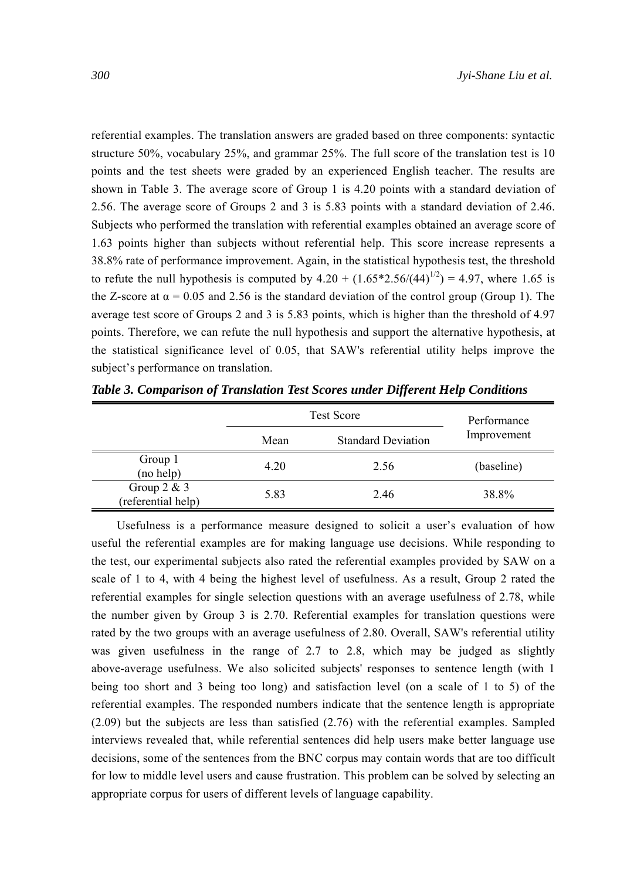referential examples. The translation answers are graded based on three components: syntactic structure 50%, vocabulary 25%, and grammar 25%. The full score of the translation test is 10 points and the test sheets were graded by an experienced English teacher. The results are shown in Table 3. The average score of Group 1 is 4.20 points with a standard deviation of 2.56. The average score of Groups 2 and 3 is 5.83 points with a standard deviation of 2.46. Subjects who performed the translation with referential examples obtained an average score of 1.63 points higher than subjects without referential help. This score increase represents a 38.8% rate of performance improvement. Again, in the statistical hypothesis test, the threshold to refute the null hypothesis is computed by  $4.20 + (1.65*2.56/(44)^{1/2}) = 4.97$ , where 1.65 is the Z-score at  $\alpha$  = 0.05 and 2.56 is the standard deviation of the control group (Group 1). The average test score of Groups 2 and 3 is 5.83 points, which is higher than the threshold of 4.97 points. Therefore, we can refute the null hypothesis and support the alternative hypothesis, at the statistical significance level of 0.05, that SAW's referential utility helps improve the subject's performance on translation.

|                                     | <b>Test Score</b> | Performance               |             |  |
|-------------------------------------|-------------------|---------------------------|-------------|--|
|                                     | Mean              | <b>Standard Deviation</b> | Improvement |  |
| Group 1<br>(no help)                | 4.20              | 2.56                      | (baseline)  |  |
| Group $2 & 3$<br>(referential help) | 5.83              | 2.46                      | 38.8%       |  |

*Table 3. Comparison of Translation Test Scores under Different Help Conditions* 

Usefulness is a performance measure designed to solicit a user's evaluation of how useful the referential examples are for making language use decisions. While responding to the test, our experimental subjects also rated the referential examples provided by SAW on a scale of 1 to 4, with 4 being the highest level of usefulness. As a result, Group 2 rated the referential examples for single selection questions with an average usefulness of 2.78, while the number given by Group 3 is 2.70. Referential examples for translation questions were rated by the two groups with an average usefulness of 2.80. Overall, SAW's referential utility was given usefulness in the range of 2.7 to 2.8, which may be judged as slightly above-average usefulness. We also solicited subjects' responses to sentence length (with 1 being too short and 3 being too long) and satisfaction level (on a scale of 1 to 5) of the referential examples. The responded numbers indicate that the sentence length is appropriate (2.09) but the subjects are less than satisfied (2.76) with the referential examples. Sampled interviews revealed that, while referential sentences did help users make better language use decisions, some of the sentences from the BNC corpus may contain words that are too difficult for low to middle level users and cause frustration. This problem can be solved by selecting an appropriate corpus for users of different levels of language capability.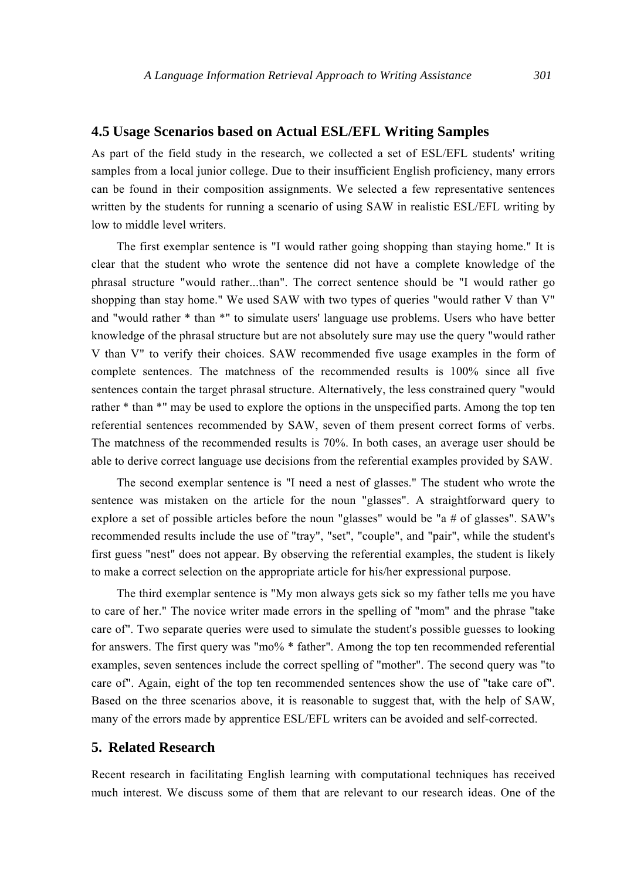#### **4.5 Usage Scenarios based on Actual ESL/EFL Writing Samples**

As part of the field study in the research, we collected a set of ESL/EFL students' writing samples from a local junior college. Due to their insufficient English proficiency, many errors can be found in their composition assignments. We selected a few representative sentences written by the students for running a scenario of using SAW in realistic ESL/EFL writing by low to middle level writers.

The first exemplar sentence is "I would rather going shopping than staying home." It is clear that the student who wrote the sentence did not have a complete knowledge of the phrasal structure "would rather...than". The correct sentence should be "I would rather go shopping than stay home." We used SAW with two types of queries "would rather V than V" and "would rather \* than \*" to simulate users' language use problems. Users who have better knowledge of the phrasal structure but are not absolutely sure may use the query "would rather V than V" to verify their choices. SAW recommended five usage examples in the form of complete sentences. The matchness of the recommended results is 100% since all five sentences contain the target phrasal structure. Alternatively, the less constrained query "would rather \* than \*" may be used to explore the options in the unspecified parts. Among the top ten referential sentences recommended by SAW, seven of them present correct forms of verbs. The matchness of the recommended results is 70%. In both cases, an average user should be able to derive correct language use decisions from the referential examples provided by SAW.

The second exemplar sentence is "I need a nest of glasses." The student who wrote the sentence was mistaken on the article for the noun "glasses". A straightforward query to explore a set of possible articles before the noun "glasses" would be "a # of glasses". SAW's recommended results include the use of "tray", "set", "couple", and "pair", while the student's first guess "nest" does not appear. By observing the referential examples, the student is likely to make a correct selection on the appropriate article for his/her expressional purpose.

The third exemplar sentence is "My mon always gets sick so my father tells me you have to care of her." The novice writer made errors in the spelling of "mom" and the phrase "take care of". Two separate queries were used to simulate the student's possible guesses to looking for answers. The first query was "mo% \* father". Among the top ten recommended referential examples, seven sentences include the correct spelling of "mother". The second query was "to care of". Again, eight of the top ten recommended sentences show the use of "take care of". Based on the three scenarios above, it is reasonable to suggest that, with the help of SAW, many of the errors made by apprentice ESL/EFL writers can be avoided and self-corrected.

# **5. Related Research**

Recent research in facilitating English learning with computational techniques has received much interest. We discuss some of them that are relevant to our research ideas. One of the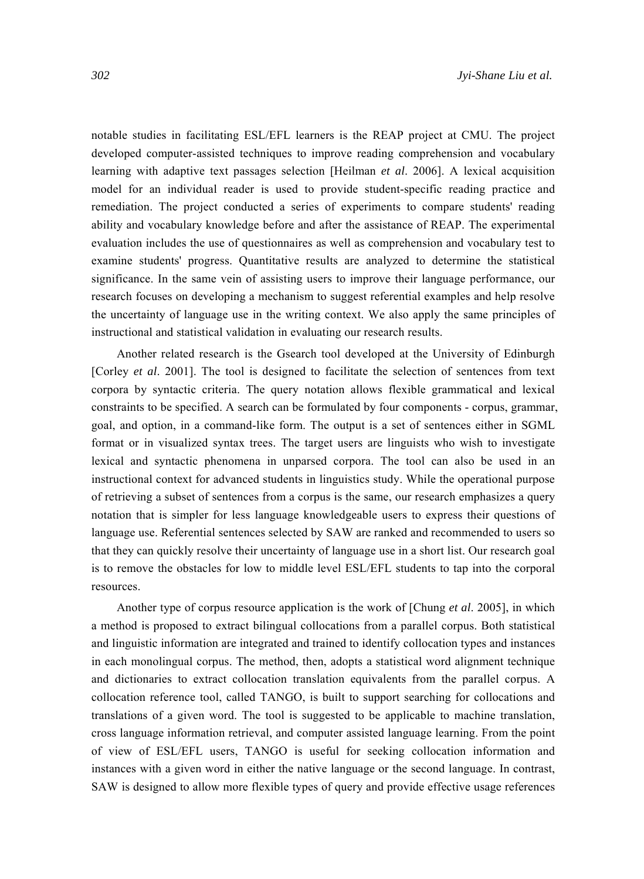notable studies in facilitating ESL/EFL learners is the REAP project at CMU. The project developed computer-assisted techniques to improve reading comprehension and vocabulary learning with adaptive text passages selection [Heilman *et al*. 2006]. A lexical acquisition model for an individual reader is used to provide student-specific reading practice and remediation. The project conducted a series of experiments to compare students' reading ability and vocabulary knowledge before and after the assistance of REAP. The experimental evaluation includes the use of questionnaires as well as comprehension and vocabulary test to examine students' progress. Quantitative results are analyzed to determine the statistical significance. In the same vein of assisting users to improve their language performance, our research focuses on developing a mechanism to suggest referential examples and help resolve the uncertainty of language use in the writing context. We also apply the same principles of instructional and statistical validation in evaluating our research results.

Another related research is the Gsearch tool developed at the University of Edinburgh [Corley *et al*. 2001]. The tool is designed to facilitate the selection of sentences from text corpora by syntactic criteria. The query notation allows flexible grammatical and lexical constraints to be specified. A search can be formulated by four components - corpus, grammar, goal, and option, in a command-like form. The output is a set of sentences either in SGML format or in visualized syntax trees. The target users are linguists who wish to investigate lexical and syntactic phenomena in unparsed corpora. The tool can also be used in an instructional context for advanced students in linguistics study. While the operational purpose of retrieving a subset of sentences from a corpus is the same, our research emphasizes a query notation that is simpler for less language knowledgeable users to express their questions of language use. Referential sentences selected by SAW are ranked and recommended to users so that they can quickly resolve their uncertainty of language use in a short list. Our research goal is to remove the obstacles for low to middle level ESL/EFL students to tap into the corporal resources.

Another type of corpus resource application is the work of [Chung *et al*. 2005], in which a method is proposed to extract bilingual collocations from a parallel corpus. Both statistical and linguistic information are integrated and trained to identify collocation types and instances in each monolingual corpus. The method, then, adopts a statistical word alignment technique and dictionaries to extract collocation translation equivalents from the parallel corpus. A collocation reference tool, called TANGO, is built to support searching for collocations and translations of a given word. The tool is suggested to be applicable to machine translation, cross language information retrieval, and computer assisted language learning. From the point of view of ESL/EFL users, TANGO is useful for seeking collocation information and instances with a given word in either the native language or the second language. In contrast, SAW is designed to allow more flexible types of query and provide effective usage references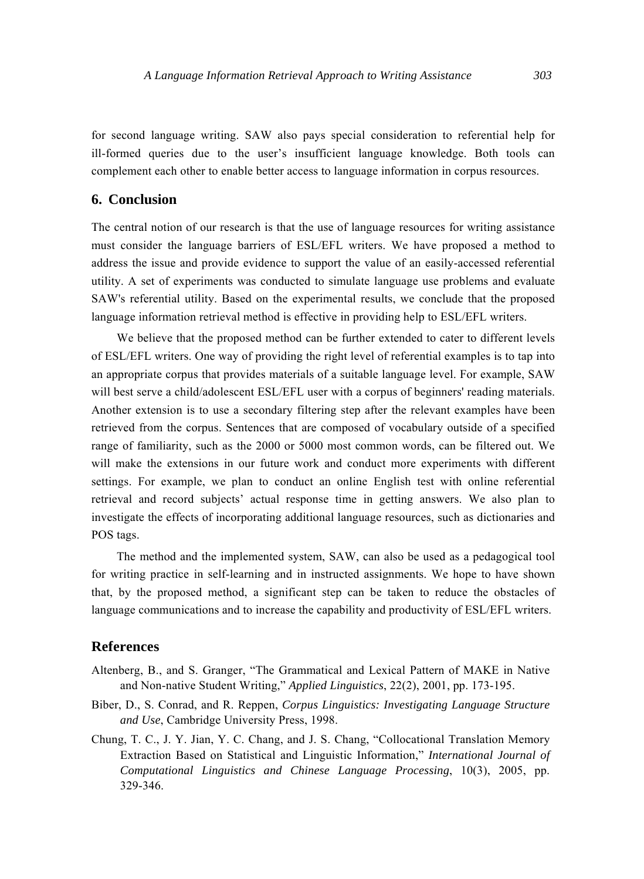for second language writing. SAW also pays special consideration to referential help for ill-formed queries due to the user's insufficient language knowledge. Both tools can complement each other to enable better access to language information in corpus resources.

# **6. Conclusion**

The central notion of our research is that the use of language resources for writing assistance must consider the language barriers of ESL/EFL writers. We have proposed a method to address the issue and provide evidence to support the value of an easily-accessed referential utility. A set of experiments was conducted to simulate language use problems and evaluate SAW's referential utility. Based on the experimental results, we conclude that the proposed language information retrieval method is effective in providing help to ESL/EFL writers.

We believe that the proposed method can be further extended to cater to different levels of ESL/EFL writers. One way of providing the right level of referential examples is to tap into an appropriate corpus that provides materials of a suitable language level. For example, SAW will best serve a child/adolescent ESL/EFL user with a corpus of beginners' reading materials. Another extension is to use a secondary filtering step after the relevant examples have been retrieved from the corpus. Sentences that are composed of vocabulary outside of a specified range of familiarity, such as the 2000 or 5000 most common words, can be filtered out. We will make the extensions in our future work and conduct more experiments with different settings. For example, we plan to conduct an online English test with online referential retrieval and record subjects' actual response time in getting answers. We also plan to investigate the effects of incorporating additional language resources, such as dictionaries and POS tags.

The method and the implemented system, SAW, can also be used as a pedagogical tool for writing practice in self-learning and in instructed assignments. We hope to have shown that, by the proposed method, a significant step can be taken to reduce the obstacles of language communications and to increase the capability and productivity of ESL/EFL writers.

### **References**

- Altenberg, B., and S. Granger, "The Grammatical and Lexical Pattern of MAKE in Native and Non-native Student Writing," *Applied Linguistics*, 22(2), 2001, pp. 173-195.
- Biber, D., S. Conrad, and R. Reppen, *Corpus Linguistics: Investigating Language Structure and Use*, Cambridge University Press, 1998.
- Chung, T. C., J. Y. Jian, Y. C. Chang, and J. S. Chang, "Collocational Translation Memory Extraction Based on Statistical and Linguistic Information," *International Journal of Computational Linguistics and Chinese Language Processing*, 10(3), 2005, pp. 329-346.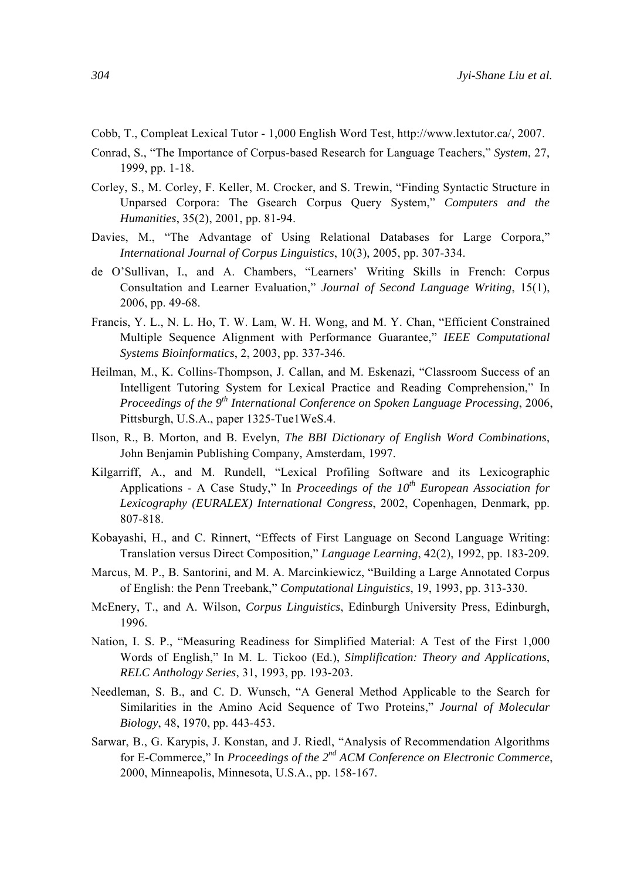- Cobb, T., Compleat Lexical Tutor 1,000 English Word Test, http://www.lextutor.ca/, 2007.
- Conrad, S., "The Importance of Corpus-based Research for Language Teachers," *System*, 27, 1999, pp. 1-18.
- Corley, S., M. Corley, F. Keller, M. Crocker, and S. Trewin, "Finding Syntactic Structure in Unparsed Corpora: The Gsearch Corpus Query System," *Computers and the Humanities*, 35(2), 2001, pp. 81-94.
- Davies, M., "The Advantage of Using Relational Databases for Large Corpora," *International Journal of Corpus Linguistics*, 10(3), 2005, pp. 307-334.
- de O'Sullivan, I., and A. Chambers, "Learners' Writing Skills in French: Corpus Consultation and Learner Evaluation," *Journal of Second Language Writing*, 15(1), 2006, pp. 49-68.
- Francis, Y. L., N. L. Ho, T. W. Lam, W. H. Wong, and M. Y. Chan, "Efficient Constrained Multiple Sequence Alignment with Performance Guarantee," *IEEE Computational Systems Bioinformatics*, 2, 2003, pp. 337-346.
- Heilman, M., K. Collins-Thompson, J. Callan, and M. Eskenazi, "Classroom Success of an Intelligent Tutoring System for Lexical Practice and Reading Comprehension," In *Proceedings of the 9th International Conference on Spoken Language Processing*, 2006, Pittsburgh, U.S.A., paper 1325-Tue1WeS.4.
- Ilson, R., B. Morton, and B. Evelyn, *The BBI Dictionary of English Word Combinations*, John Benjamin Publishing Company, Amsterdam, 1997.
- Kilgarriff, A., and M. Rundell, "Lexical Profiling Software and its Lexicographic Applications - A Case Study," In *Proceedings of the 10th European Association for Lexicography (EURALEX) International Congress*, 2002, Copenhagen, Denmark, pp. 807-818.
- Kobayashi, H., and C. Rinnert, "Effects of First Language on Second Language Writing: Translation versus Direct Composition," *Language Learning*, 42(2), 1992, pp. 183-209.
- Marcus, M. P., B. Santorini, and M. A. Marcinkiewicz, "Building a Large Annotated Corpus of English: the Penn Treebank," *Computational Linguistics*, 19, 1993, pp. 313-330.
- McEnery, T., and A. Wilson, *Corpus Linguistics*, Edinburgh University Press, Edinburgh, 1996.
- Nation, I. S. P., "Measuring Readiness for Simplified Material: A Test of the First 1,000 Words of English," In M. L. Tickoo (Ed.), *Simplification: Theory and Applications*, *RELC Anthology Series*, 31, 1993, pp. 193-203.
- Needleman, S. B., and C. D. Wunsch, "A General Method Applicable to the Search for Similarities in the Amino Acid Sequence of Two Proteins," *Journal of Molecular Biology*, 48, 1970, pp. 443-453.
- Sarwar, B., G. Karypis, J. Konstan, and J. Riedl, "Analysis of Recommendation Algorithms for E-Commerce," In *Proceedings of the 2nd ACM Conference on Electronic Commerce*, 2000, Minneapolis, Minnesota, U.S.A., pp. 158-167.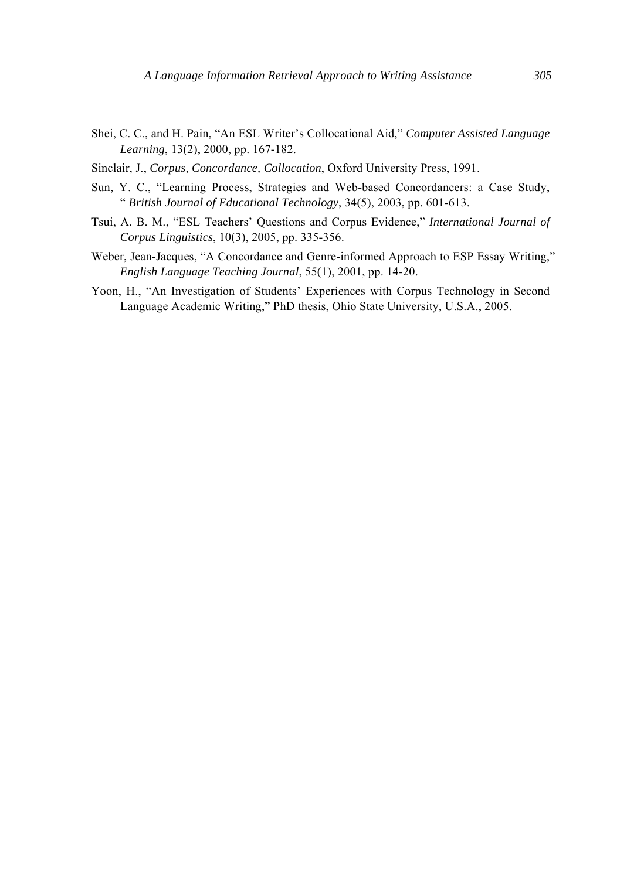- Shei, C. C., and H. Pain, "An ESL Writer's Collocational Aid," *Computer Assisted Language Learning*, 13(2), 2000, pp. 167-182.
- Sinclair, J., *Corpus, Concordance, Collocation*, Oxford University Press, 1991.
- Sun, Y. C., "Learning Process, Strategies and Web-based Concordancers: a Case Study, " *British Journal of Educational Technology*, 34(5), 2003, pp. 601-613.
- Tsui, A. B. M., "ESL Teachers' Questions and Corpus Evidence," *International Journal of Corpus Linguistics*, 10(3), 2005, pp. 335-356.
- Weber, Jean-Jacques, "A Concordance and Genre-informed Approach to ESP Essay Writing," *English Language Teaching Journal*, 55(1), 2001, pp. 14-20.
- Yoon, H., "An Investigation of Students' Experiences with Corpus Technology in Second Language Academic Writing," PhD thesis, Ohio State University, U.S.A., 2005.